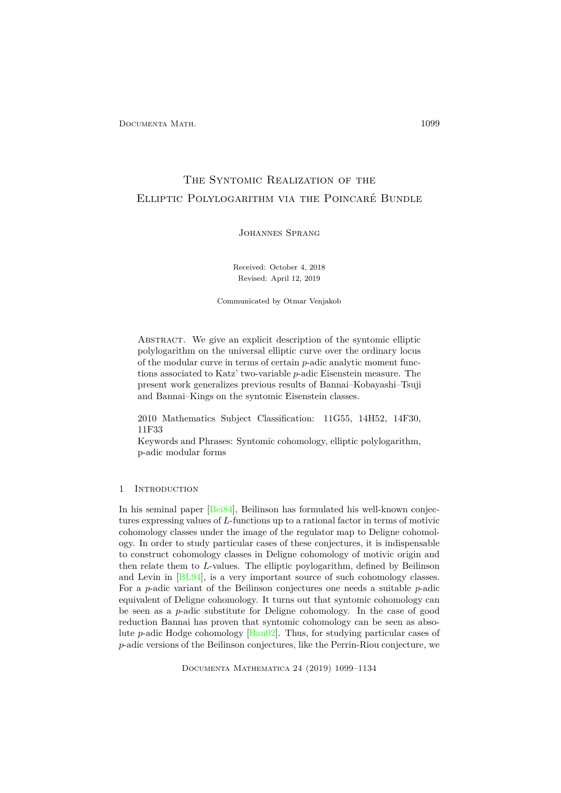# The Syntomic Realization of the Elliptic Polylogarithm via the Poincaré Bundle

Johannes Sprang

Received: October 4, 2018 Revised: April 12, 2019

Communicated by Otmar Venjakob

Abstract. We give an explicit description of the syntomic elliptic polylogarithm on the universal elliptic curve over the ordinary locus of the modular curve in terms of certain *p*-adic analytic moment functions associated to Katz' two-variable *p*-adic Eisenstein measure. The present work generalizes previous results of Bannai–Kobayashi–Tsuji and Bannai–Kings on the syntomic Eisenstein classes.

2010 Mathematics Subject Classification: 11G55, 14H52, 14F30, 11F33

Keywords and Phrases: Syntomic cohomology, elliptic polylogarithm, p-adic modular forms

# 1 INTRODUCTION

In his seminal paper [\[Bei84\]](#page-33-0), Beilinson has formulated his well-known conjectures expressing values of *L*-functions up to a rational factor in terms of motivic cohomology classes under the image of the regulator map to Deligne cohomology. In order to study particular cases of these conjectures, it is indispensable to construct cohomology classes in Deligne cohomology of motivic origin and then relate them to *L*-values. The elliptic poylogarithm, defined by Beilinson and Levin in [\[BL94\]](#page-34-0), is a very important source of such cohomology classes. For a *p*-adic variant of the Beilinson conjectures one needs a suitable *p*-adic equivalent of Deligne cohomology. It turns out that syntomic cohomology can be seen as a *p*-adic substitute for Deligne cohomology. In the case of good reduction Bannai has proven that syntomic cohomology can be seen as absolute *p*-adic Hodge cohomology [\[Ban02\]](#page-33-1). Thus, for studying particular cases of *p*-adic versions of the Beilinson conjectures, like the Perrin-Riou conjecture, we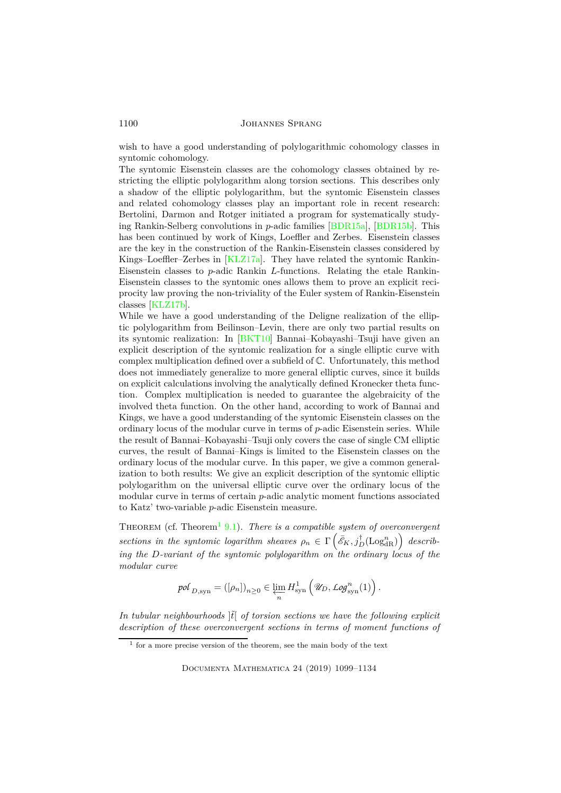wish to have a good understanding of polylogarithmic cohomology classes in syntomic cohomology.

The syntomic Eisenstein classes are the cohomology classes obtained by restricting the elliptic polylogarithm along torsion sections. This describes only a shadow of the elliptic polylogarithm, but the syntomic Eisenstein classes and related cohomology classes play an important role in recent research: Bertolini, Darmon and Rotger initiated a program for systematically studying Rankin-Selberg convolutions in *p*-adic families [\[BDR15a\]](#page-33-2), [\[BDR15b\]](#page-33-3). This has been continued by work of Kings, Loeffler and Zerbes. Eisenstein classes are the key in the construction of the Rankin-Eisenstein classes considered by Kings–Loeffler–Zerbes in [\[KLZ17a\]](#page-34-1). They have related the syntomic Rankin-Eisenstein classes to *p*-adic Rankin *L*-functions. Relating the etale Rankin-Eisenstein classes to the syntomic ones allows them to prove an explicit reciprocity law proving the non-triviality of the Euler system of Rankin-Eisenstein classes [\[KLZ17b\]](#page-34-2).

While we have a good understanding of the Deligne realization of the elliptic polylogarithm from Beilinson–Levin, there are only two partial results on its syntomic realization: In [\[BKT10\]](#page-33-4) Bannai–Kobayashi–Tsuji have given an explicit description of the syntomic realization for a single elliptic curve with complex multiplication defined over a subfield of C. Unfortunately, this method does not immediately generalize to more general elliptic curves, since it builds on explicit calculations involving the analytically defined Kronecker theta function. Complex multiplication is needed to guarantee the algebraicity of the involved theta function. On the other hand, according to work of Bannai and Kings, we have a good understanding of the syntomic Eisenstein classes on the ordinary locus of the modular curve in terms of *p*-adic Eisenstein series. While the result of Bannai–Kobayashi–Tsuji only covers the case of single CM elliptic curves, the result of Bannai–Kings is limited to the Eisenstein classes on the ordinary locus of the modular curve. In this paper, we give a common generalization to both results: We give an explicit description of the syntomic elliptic polylogarithm on the universal elliptic curve over the ordinary locus of the modular curve in terms of certain *p*-adic analytic moment functions associated to Katz' two-variable *p*-adic Eisenstein measure.

THEOREM (cf. Theorem<sup>[1](#page-1-0)</sup> [9.1\)](#page-28-0). *There is a compatible system of overconvergent*  $\text{vectors in the synthetic logarithm sheaves } \rho_n \in \Gamma\left(\bar{e}_K, j_D^{\dagger}(\text{Log}_{\text{dR}}^n)\right)$   $\text{describ-}$ *ing the D-variant of the syntomic polylogarithm on the ordinary locus of the modular curve*

$$
\text{pol}_{D,\text{syn}}=([\rho_n])_{n\geq 0}\in \varprojlim_n H^1_{\text{syn}}\left(\mathscr{U}_D,\text{Log}^n_{\text{syn}}(1)\right).
$$

In tubular neighbourhoods  $|\tilde{t}|$  of torsion sections we have the following explicit *description of these overconvergent sections in terms of moment functions of*

<span id="page-1-0"></span><sup>1</sup> for a more precise version of the theorem, see the main body of the text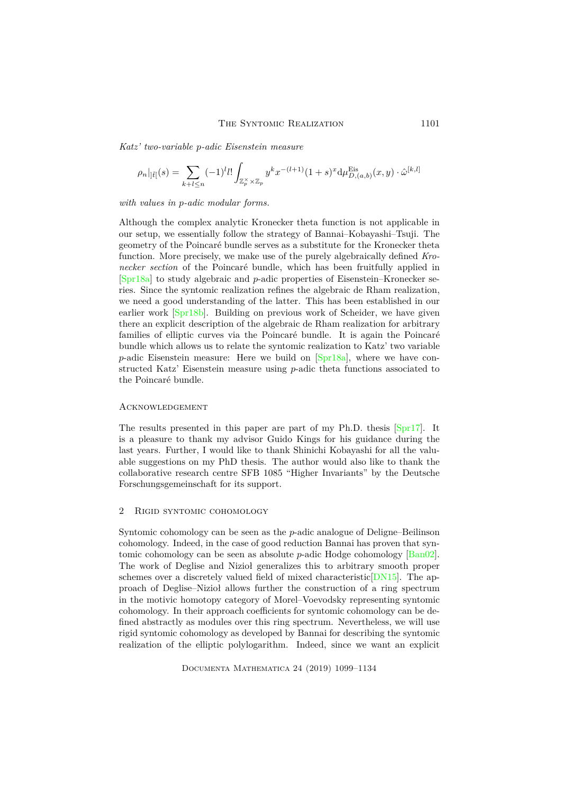*Katz' two-variable p-adic Eisenstein measure*

$$
\rho_n|_{]\tilde{t}[}(s)=\sum_{k+l\leq n}(-1)^l l!\int_{\mathbb{Z}_p^{\times}\times\mathbb{Z}_p}y^kx^{-(l+1)}(1+s)^x\mathrm{d}\mu_{D,(a,b)}^{\mathrm{Eis}}(x,y)\cdot\hat{\omega}^{[k,l]}
$$

#### *with values in p-adic modular forms.*

Although the complex analytic Kronecker theta function is not applicable in our setup, we essentially follow the strategy of Bannai–Kobayashi–Tsuji. The geometry of the Poincaré bundle serves as a substitute for the Kronecker theta function. More precisely, we make use of the purely algebraically defined *Kronecker section* of the Poincaré bundle, which has been fruitfully applied in [\[Spr18a\]](#page-34-3) to study algebraic and *p*-adic properties of Eisenstein–Kronecker series. Since the syntomic realization refines the algebraic de Rham realization, we need a good understanding of the latter. This has been established in our earlier work [\[Spr18b\]](#page-34-4). Building on previous work of Scheider, we have given there an explicit description of the algebraic de Rham realization for arbitrary families of elliptic curves via the Poincaré bundle. It is again the Poincaré bundle which allows us to relate the syntomic realization to Katz' two variable *p*-adic Eisenstein measure: Here we build on [\[Spr18a\]](#page-34-3), where we have constructed Katz' Eisenstein measure using *p*-adic theta functions associated to the Poincaré bundle.

#### **ACKNOWLEDGEMENT**

The results presented in this paper are part of my Ph.D. thesis [\[Spr17\]](#page-34-5). It is a pleasure to thank my advisor Guido Kings for his guidance during the last years. Further, I would like to thank Shinichi Kobayashi for all the valuable suggestions on my PhD thesis. The author would also like to thank the collaborative research centre SFB 1085 "Higher Invariants" by the Deutsche Forschungsgemeinschaft for its support.

# 2 Rigid syntomic cohomology

Syntomic cohomology can be seen as the *p*-adic analogue of Deligne–Beilinson cohomology. Indeed, in the case of good reduction Bannai has proven that syntomic cohomology can be seen as absolute *p*-adic Hodge cohomology [\[Ban02\]](#page-33-1). The work of Deglise and Nizioł generalizes this to arbitrary smooth proper schemes over a discretely valued field of mixed characteristic [\[DN15\]](#page-34-6). The approach of Deglise–Nizioł allows further the construction of a ring spectrum in the motivic homotopy category of Morel–Voevodsky representing syntomic cohomology. In their approach coefficients for syntomic cohomology can be defined abstractly as modules over this ring spectrum. Nevertheless, we will use rigid syntomic cohomology as developed by Bannai for describing the syntomic realization of the elliptic polylogarithm. Indeed, since we want an explicit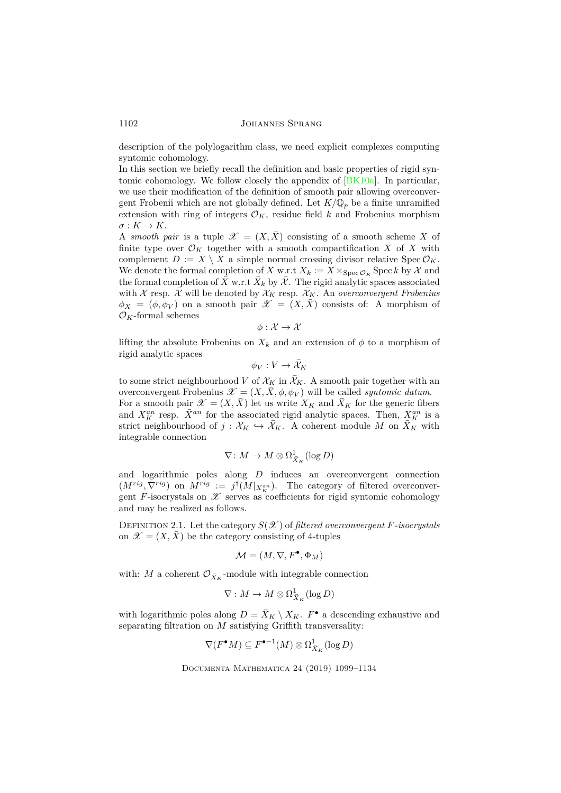description of the polylogarithm class, we need explicit complexes computing syntomic cohomology.

In this section we briefly recall the definition and basic properties of rigid syntomic cohomology. We follow closely the appendix of [\[BK10a\]](#page-33-5). In particular, we use their modification of the definition of smooth pair allowing overconvergent Frobenii which are not globally defined. Let  $K/\mathbb{Q}_p$  be a finite unramified extension with ring of integers  $\mathcal{O}_K$ , residue field *k* and Frobenius morphism  $\sigma: K \to K$ .

A *smooth pair* is a tuple  $\mathscr{X} = (X, \overline{X})$  consisting of a smooth scheme X of finite type over  $\mathcal{O}_K$  together with a smooth compactification  $\overline{X}$  of  $X$  with complement  $D := \overline{X} \setminus X$  a simple normal crossing divisor relative Spec  $\mathcal{O}_K$ . We denote the formal completion of *X* w.r.t  $X_k := X \times_{\text{Spec } \mathcal{O}_K} \text{Spec } k$  by X and the formal completion of  $\bar{X}$  w.r.t  $\bar{X}_k$  by  $\bar{\mathcal{X}}$ . The rigid analytic spaces associated with X resp.  $\bar{\mathcal{X}}$  will be denoted by  $\mathcal{X}_K$  resp.  $\bar{\mathcal{X}}_K$ . An *overconvergent Frobenius*  $\phi_X = (\phi, \phi_V)$  on a smooth pair  $\mathscr{X} = (X, \bar{X})$  consists of: A morphism of  $\mathcal{O}_K\text{-formal schemes}$ 

$$
\phi: \mathcal{X} \to \mathcal{X}
$$

lifting the absolute Frobenius on  $X_k$  and an extension of  $\phi$  to a morphism of rigid analytic spaces

$$
\phi_V:V\to \bar{\mathcal{X}}_K
$$

to some strict neighbourhood *V* of  $\mathcal{X}_K$  in  $\bar{\mathcal{X}}_K$ . A smooth pair together with an overconvergent Frobenius  $\mathscr{X} = (X, \bar{X}, \phi, \phi_V)$  will be called *syntomic datum*. For a smooth pair  $\mathscr{X} = (X, X)$  let us write  $X_K$  and  $X_K$  for the generic fibers and  $X_K^{an}$  resp.  $\bar{X}^{an}$  for the associated rigid analytic spaces. Then,  $X_K^{an}$  is a strict neighbourhood of  $j : \mathcal{X}_K \hookrightarrow \overline{\mathcal{X}}_K$ . A coherent module M on  $X_K$  with integrable connection

$$
\nabla\colon M\to M\otimes\Omega^1_{\bar{X}_K}(\log D)
$$

and logarithmic poles along *D* induces an overconvergent connection  $(M^{rig}, \nabla^{rig})$  on  $M^{rig} := j^{\dagger} (M |_{X^{an}_{K}})$ . The category of filtered overconvergent *F*-isocrystals on  $\mathscr X$  serves as coefficients for rigid syntomic cohomology and may be realized as follows.

DEFINITION 2.1. Let the category  $S(\mathcal{X})$  of *filtered overconvergent F-isocrystals* on  $\mathscr{X} = (X, \overline{X})$  be the category consisting of 4-tuples

$$
\mathcal{M} = (M, \nabla, F^{\bullet}, \Phi_M)
$$

with:  $M$  a coherent  $\mathcal{O}_{\bar{X}_K}$ -module with integrable connection

$$
\nabla: M \to M \otimes \Omega^1_{\bar{X}_K}(\log D)
$$

with logarithmic poles along  $D = \bar{X}_K \setminus X_K$ .  $F^{\bullet}$  a descending exhaustive and separating filtration on *M* satisfying Griffith transversality:

$$
\nabla(F^{\bullet}M)\subseteq F^{\bullet-1}(M)\otimes \Omega^1_{\bar{X}_K}(\log D)
$$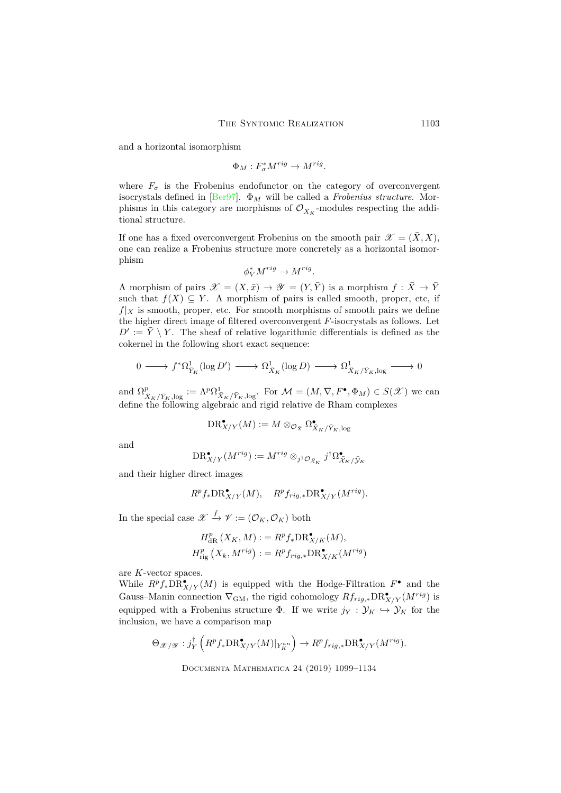and a horizontal isomorphism

 $\Phi_M : F^*_{\sigma} M^{rig} \to M^{rig}.$ 

where  $F_{\sigma}$  is the Frobenius endofunctor on the category of overconvergent isocrystals defined in [\[Ber97\]](#page-33-6). Φ*<sup>M</sup>* will be called a *Frobenius structure*. Morphisms in this category are morphisms of  $\mathcal{O}_{\bar{X}_K}$ -modules respecting the additional structure.

If one has a fixed overconvergent Frobenius on the smooth pair  $\mathscr{X} = (\bar{X}, X)$ , one can realize a Frobenius structure more concretely as a horizontal isomorphism

$$
\phi_V^* M^{rig} \to M^{rig}.
$$

A morphism of pairs  $\mathscr{X} = (X, \bar{x}) \to \mathscr{Y} = (Y, \bar{Y})$  is a morphism  $f : \bar{X} \to \bar{Y}$ such that  $f(X) \subseteq Y$ . A morphism of pairs is called smooth, proper, etc, if  $f|_X$  is smooth, proper, etc. For smooth morphisms of smooth pairs we define the higher direct image of filtered overconvergent *F*-isocrystals as follows. Let  $D' := \overline{Y} \setminus Y$ . The sheaf of relative logarithmic differentials is defined as the cokernel in the following short exact sequence:

$$
0 \longrightarrow f^* \Omega^1_{\bar{Y}_K}(\log D') \longrightarrow \Omega^1_{\bar{X}_K}(\log D) \longrightarrow \Omega^1_{\bar{X}_K/\bar{Y}_K, \log} \longrightarrow 0
$$

and  $\Omega^p_{\bar{X}_K/\bar{Y}_K,\log} := \Lambda^p \Omega^1_{\bar{X}_K/\bar{Y}_K,\log}$ . For  $\mathcal{M} = (M, \nabla, F^{\bullet}, \Phi_M) \in S(\mathcal{X})$  we can define the following algebraic and rigid relative de Rham complexes

$$
\operatorname{DR}^\bullet_{X/Y}(M):=M\otimes_{\mathcal{O}_{\bar{X}}}\Omega^\bullet_{\bar{X}_K/\bar{Y}_K,\log}
$$

and

$$
\text{DR}^{\bullet}_{X/Y}(M^{rig}):=M^{rig}\otimes_{j^{\dagger}\mathcal{O}_{\bar{\mathcal{X}}_K}}j^{\dagger}\Omega^{\bullet}_{\bar{\mathcal{X}}_K/\bar{\mathcal{Y}}_K}
$$

and their higher direct images

$$
R^p f_* \mathrm{DR}^\bullet_{X/Y}(M), \quad R^p f_{rig,*} \mathrm{DR}^\bullet_{X/Y}(M^{rig}).
$$

In the special case  $\mathscr{X} \xrightarrow{f} \mathscr{Y} := (\mathcal{O}_K, \mathcal{O}_K)$  both

$$
H_{\text{dR}}^p(X_K, M) := R^p f_* \text{DR}_{X/K}^{\bullet}(M),
$$
  

$$
H_{\text{rig}}^p(X_k, M^{rig}) := R^p f_{rig,*} \text{DR}_{X/K}^{\bullet}(M^{rig})
$$

are *K*-vector spaces.

While  $R^p f_* \text{DR}^{\bullet}_{X/Y}(M)$  is equipped with the Hodge-Filtration  $F^{\bullet}$  and the Gauss–Manin connection  $\nabla_{GM}$ , the rigid cohomology  $Rf_{rig,*} \text{DR}^{\bullet}_{X/Y}(M^{rig})$  is equipped with a Frobenius structure  $\Phi$ . If we write  $j_Y : \mathcal{Y}_K \hookrightarrow \bar{\mathcal{Y}}_K$  for the inclusion, we have a comparison map

$$
\Theta_{\mathscr{X}/\mathscr{Y}}: j_Y^{\dagger} \left( R^p f_* \text{DR}_{X/Y}^{\bullet}(M) |_{Y_K^{an}} \right) \to R^p f_{rig,*} \text{DR}_{X/Y}^{\bullet}(M^{rig}).
$$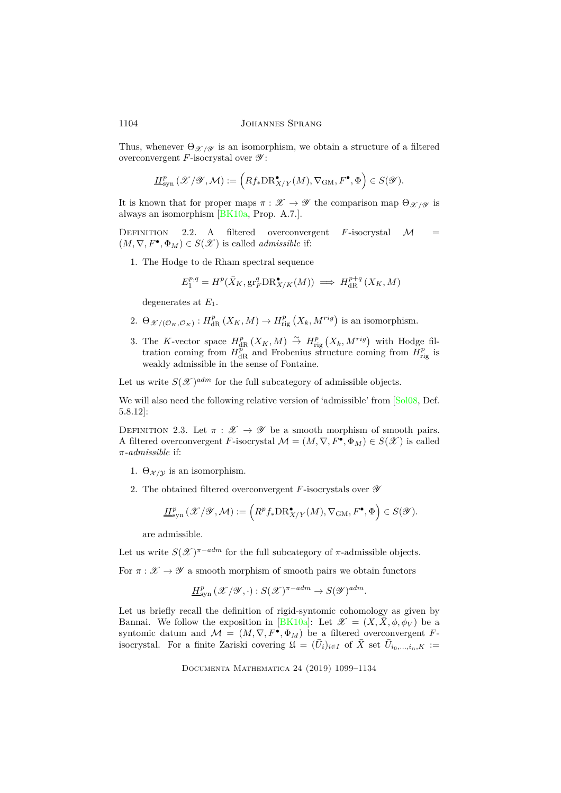Thus, whenever  $\Theta_{\mathscr{X}/\mathscr{Y}}$  is an isomorphism, we obtain a structure of a filtered overconvergent  $F$ -isocrystal over  $\mathscr{Y}$ :

$$
\underline{H}^p_{\rm syn}\left(\mathscr{X}/\mathscr{Y},\mathcal{M}\right):=\Big(Rf_*\text{DR}^\bullet_{X/Y}(M),\nabla_{\rm GM},F^\bullet,\Phi\Big)\in S(\mathscr{Y}).
$$

It is known that for proper maps  $\pi : \mathscr{X} \to \mathscr{Y}$  the comparison map  $\Theta_{\mathscr{X}/\mathscr{Y}}$  is always an isomorphism [\[BK10a,](#page-33-5) Prop. A.7.].

DEFINITION  $2.2$ . A filtered overconvergent *F*-isocrystal *M*  $(M, \nabla, F^{\bullet}, \Phi_M) \in S(\mathcal{X})$  is called *admissible* if:

1. The Hodge to de Rham spectral sequence

$$
E_1^{p,q} = H^p(\bar{X}_K, \operatorname{gr}^q_F \mathrm{DR}^{\bullet}_{X/K}(M)) \implies H^{p+q}_{\mathrm{dR}}(X_K, M)
$$

degenerates at *E*1.

- 2.  $\Theta_{\mathscr{X}/(\mathcal{O}_K,\mathcal{O}_K)} : H^p_{\text{dR}}(X_K,M) \to H^p_{\text{rig}}(X_k,M^{rig})$  is an isomorphism.
- 3. The *K*-vector space  $H_{\text{dR}}^p(X_K, M) \overset{\sim}{\to} H_{\text{rig}}^p(X_k, M^{rig})$  with Hodge filtration coming from  $H_{\text{dR}}^{\text{pr}}$  and Frobenius structure coming from  $H_{\text{rig}}^p$  is weakly admissible in the sense of Fontaine.

Let us write  $S(\mathscr{X})^{adm}$  for the full subcategory of admissible objects.

We will also need the following relative version of 'admissible' from [\[Sol08,](#page-34-7) Def. 5.8.12]:

DEFINITION 2.3. Let  $\pi : \mathscr{X} \to \mathscr{Y}$  be a smooth morphism of smooth pairs. A filtered overconvergent *F*-isocrystal  $\mathcal{M} = (M, \nabla, F^{\bullet}, \Phi_M) \in S(\mathcal{X})$  is called *π-admissible* if:

- 1.  $\Theta_{\mathcal{X}/\mathcal{Y}}$  is an isomorphism.
- 2. The obtained filtered overconvergent *F*-isocrystals over  $\mathscr Y$

$$
\underline{H}^p_{\rm syn}\left(\mathscr{X}/\mathscr{Y},\mathcal{M}\right):=\Bigl(R^pf_*\text{DR}^\bullet_{X/Y}(M),\nabla_{\rm GM},F^\bullet,\Phi\Bigr)\in S(\mathscr{Y}).
$$

are admissible.

Let us write  $S(\mathscr{X})^{\pi-adm}$  for the full subcategory of  $\pi$ -admissible objects.

For  $\pi : \mathscr{X} \to \mathscr{Y}$  a smooth morphism of smooth pairs we obtain functors

$$
\underline{H}^p_{\text{syn}}(\mathscr{X}/\mathscr{Y},\cdot):S(\mathscr{X})^{\pi-adm}\to S(\mathscr{Y})^{adm}.
$$

Let us briefly recall the definition of rigid-syntomic cohomology as given by Bannai. We follow the exposition in [\[BK10a\]](#page-33-5): Let  $\mathscr{X} = (X, \overline{X}, \phi, \phi_V)$  be a syntomic datum and  $\mathcal{M} = (M, \nabla, F^{\bullet}, \Phi_M)$  be a filtered overconvergent *F*isocrystal. For a finite Zariski covering  $\mathfrak{U} = (\bar{U}_i)_{i \in I}$  of  $\bar{X}$  set  $\bar{U}_{i_0,\dots,i_n,K}$  :=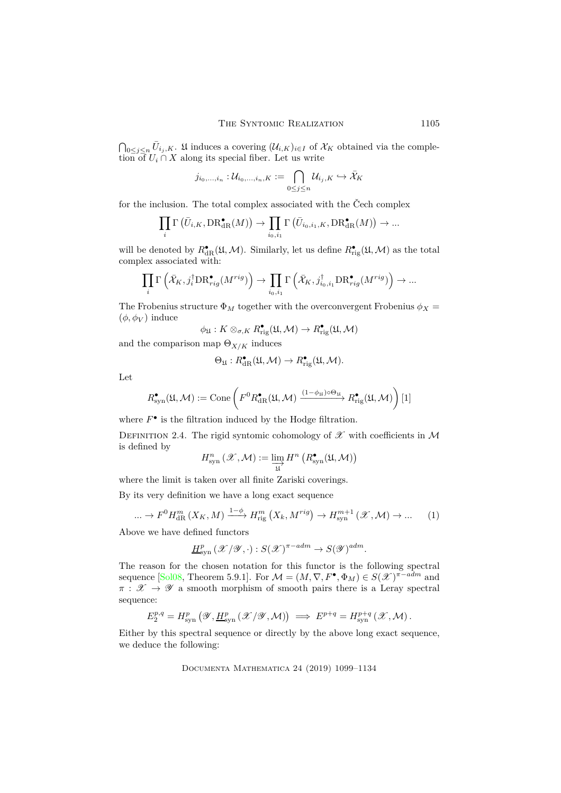$\bigcap_{0 \leq j \leq n} \bar{U}_{i_j,K}$ . If induces a covering  $(\mathcal{U}_{i,K})_{i \in I}$  of  $\mathcal{X}_K$  obtained via the completion of  $U_i \cap X$  along its special fiber. Let us write

$$
j_{i_0,\dots,i_n}:\mathcal U_{i_0,\dots,i_n,K}:=\bigcap_{0\leq j\leq n}\mathcal U_{i_j,K}\hookrightarrow\bar{\mathcal X}_K
$$

for the inclusion. The total complex associated with the Čech complex

$$
\prod_{i} \Gamma\left(\overline{U}_{i,K},\text{DR}^{\bullet}_{\mathrm{dR}}(M)\right) \to \prod_{i_0,i_1} \Gamma\left(\overline{U}_{i_0,i_1,K},\text{DR}^{\bullet}_{\mathrm{dR}}(M)\right) \to \dots
$$

will be denoted by  $R_{\text{dR}}^{\bullet}(\mathfrak{U},\mathcal{M})$ . Similarly, let us define  $R_{\text{rig}}^{\bullet}(\mathfrak{U},\mathcal{M})$  as the total complex associated with:

$$
\prod_i \Gamma\left(\bar{\mathcal{X}}_K, j_i^{\dagger} \text{DR}_{rig}^{\bullet}(M^{rig})\right) \to \prod_{i_0, i_1} \Gamma\left(\bar{\mathcal{X}}_K, j_{i_0, i_1}^{\dagger} \text{DR}_{rig}^{\bullet}(M^{rig})\right) \to \dots
$$

The Frobenius structure  $\Phi_M$  together with the overconvergent Frobenius  $\phi_X =$  $(\phi, \phi_V)$  induce

$$
\phi_{\mathfrak{U}}: K \otimes_{\sigma,K} R_{\mathrm{rig}}^{\bullet}(\mathfrak{U}, \mathcal{M}) \to R_{\mathrm{rig}}^{\bullet}(\mathfrak{U}, \mathcal{M})
$$

and the comparison map  $\Theta_{X/K}$  induces

$$
\Theta_{\mathfrak{U}} : R_{\mathrm{dR}}^{\bullet}(\mathfrak{U}, \mathcal{M}) \to R_{\mathrm{rig}}^{\bullet}(\mathfrak{U}, \mathcal{M}).
$$

Let

$$
R^\bullet_\mathrm{syn}(\mathfrak{U},\mathcal{M}):=\mathrm{Cone}\left(F^0R^\bullet_\mathrm{dR}(\mathfrak{U},\mathcal{M})\xrightarrow{(1-\phi_\mathfrak{U})\circ\Theta_\mathfrak{U}}R^\bullet_\mathrm{rig}(\mathfrak{U},\mathcal{M})\right)[1]
$$

where  $F^{\bullet}$  is the filtration induced by the Hodge filtration.

DEFINITION 2.4. The rigid syntomic cohomology of  $\mathscr X$  with coefficients in M is defined by

$$
H^n_{ \operatorname{syn} } \left( \mathscr{X}, \mathcal{M} \right) := \varinjlim_{\mathfrak{U}} H^n \left( R_{ \operatorname{syn} }^{\bullet} ( \mathfrak{U}, \mathcal{M} ) \right)
$$

where the limit is taken over all finite Zariski coverings.

By its very definition we have a long exact sequence

<span id="page-6-0"></span>
$$
\dots \to F^0 H_{\text{dR}}^m(X_K, M) \xrightarrow{1-\phi} H_{\text{rig}}^m(X_k, M^{\text{rig}}) \to H_{\text{syn}}^{m+1}(\mathcal{X}, \mathcal{M}) \to \dots \tag{1}
$$

Above we have defined functors

$$
\underline{H}^p_{\text{syn}}(\mathscr{X}/\mathscr{Y}, \cdot): S(\mathscr{X})^{\pi - adm} \to S(\mathscr{Y})^{adm}.
$$

The reason for the chosen notation for this functor is the following spectral sequence [\[Sol08,](#page-34-7) Theorem 5.9.1]. For  $\mathcal{M} = (M, \nabla, F^{\bullet}, \Phi_M) \in S(\mathcal{X})^{\pi - adm}$  and  $\pi : \mathscr{X} \to \mathscr{Y}$  a smooth morphism of smooth pairs there is a Leray spectral sequence:

$$
E_2^{p,q} = H_{\text{syn}}^p \left( \mathscr{Y}, \underline{H}_{\text{syn}}^p \left( \mathscr{X} / \mathscr{Y}, \mathcal{M} \right) \right) \implies E^{p+q} = H_{\text{syn}}^{p+q} \left( \mathscr{X}, \mathcal{M} \right).
$$

Either by this spectral sequence or directly by the above long exact sequence, we deduce the following: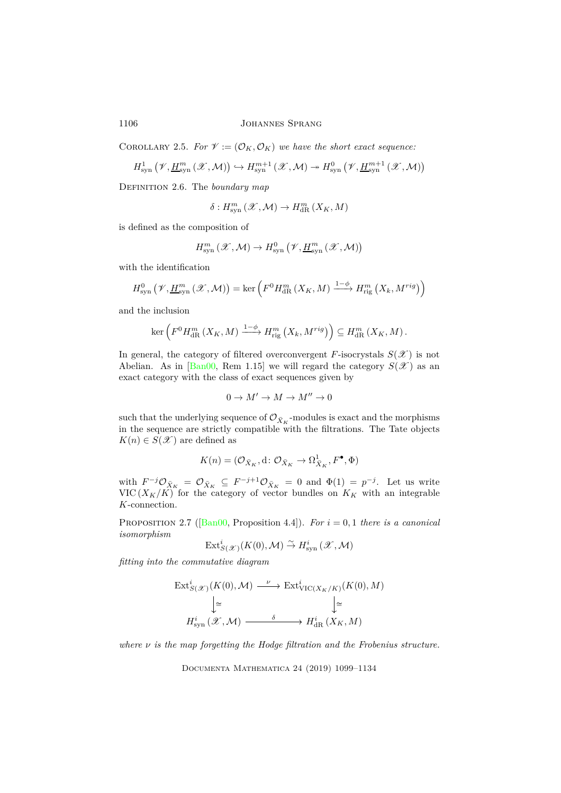COROLLARY 2.5. *For*  $\mathcal{V} := (\mathcal{O}_K, \mathcal{O}_K)$  *we have the short exact sequence:* 

$$
H^1_{\mathrm{syn}}\left(\mathscr{V},\underline{H}^m_{\mathrm{syn}}\left(\mathscr{X},\mathcal{M}\right)\right)\hookrightarrow H^{m+1}_{\mathrm{syn}}\left(\mathscr{X},\mathcal{M}\right)\twoheadrightarrow H^0_{\mathrm{syn}}\left(\mathscr{V},\underline{H}^{m+1}_{\mathrm{syn}}\left(\mathscr{X},\mathcal{M}\right)\right)
$$

Definition 2.6. The *boundary map*

$$
\delta: H^m_{\rm syn}\left(\mathscr X,\mathcal M\right)\to H^m_{\rm dR}\left(X_K,M\right)
$$

is defined as the composition of

$$
H^{m}_{\mathrm{syn}}\left(\mathscr{X},\mathcal{M}\right)\to H^{0}_{\mathrm{syn}}\left(\mathscr{V},\underline{H}^{m}_{\mathrm{syn}}\left(\mathscr{X},\mathcal{M}\right)\right)
$$

with the identification

$$
H_{\text{syn}}^0(\mathscr{V}, \underline{H}_{\text{syn}}^m(\mathscr{X}, \mathcal{M})) = \ker\left(F^0 H_{\text{dR}}^m(X_K, M) \xrightarrow{1-\phi} H_{\text{rig}}^m(X_k, M^{\text{rig}})\right)
$$

and the inclusion

$$
\ker\left(F^0 H_{\mathrm{dR}}^m\left(X_K, M\right) \xrightarrow{1-\phi} H_{\mathrm{rig}}^m\left(X_k, M^{rig}\right)\right) \subseteq H_{\mathrm{dR}}^m\left(X_K, M\right).
$$

In general, the category of filtered overconvergent *F*-isocrystals  $S(\mathscr{X})$  is not Abelian. As in [\[Ban00,](#page-33-7) Rem 1.15] we will regard the category  $S(\mathscr{X})$  as an exact category with the class of exact sequences given by

$$
0 \to M' \to M \to M'' \to 0
$$

such that the underlying sequence of  $\mathcal{O}_{\bar{X}_K}$ -modules is exact and the morphisms in the sequence are strictly compatible with the filtrations. The Tate objects  $K(n) \in S(\mathcal{X})$  are defined as

$$
K(n) = (\mathcal{O}_{\bar{X}_K}, \mathrm{d}\colon \mathcal{O}_{\bar{X}_K} \to \Omega^1_{\bar{X}_K}, F^{\bullet}, \Phi)
$$

with  $F^{-j}\mathcal{O}_{\bar{X}_K} = \mathcal{O}_{\bar{X}_K} \subseteq F^{-j+1}\mathcal{O}_{\bar{X}_K} = 0$  and  $\Phi(1) = p^{-j}$ . Let us write VIC  $(X_K/K)$  for the category of vector bundles on  $K_K$  with an integrable *K*-connection.

Proposition 2.7([\[Ban00,](#page-33-7) Proposition 4.4]). *For i* = 0*,* 1 *there is a canonical isomorphism*

$$
\mathrm{Ext}^i_{S(\mathscr{X})}(K(0),\mathcal{M}) \overset{\sim}{\to} H^i_{\mathrm{syn}}(\mathscr{X},\mathcal{M})
$$

*fitting into the commutative diagram*

$$
\begin{aligned} \operatorname{Ext}^i_{S(\mathscr{X})}(K(0),\mathcal{M}) &\xrightarrow{\quad \nu \quad} \operatorname{Ext}^i_{\operatorname{VIC}(X_K/K)}(K(0),M) \\ &\Big| \cong \qquad \qquad \Big| \cong \qquad \qquad \Big| \cong \\ H^i_{\operatorname{syn}}(\mathscr{X},\mathcal{M}) &\xrightarrow{\quad \delta \quad} H^i_{\operatorname{dR}}(X_K,M) \end{aligned}
$$

*where ν is the map forgetting the Hodge filtration and the Frobenius structure.*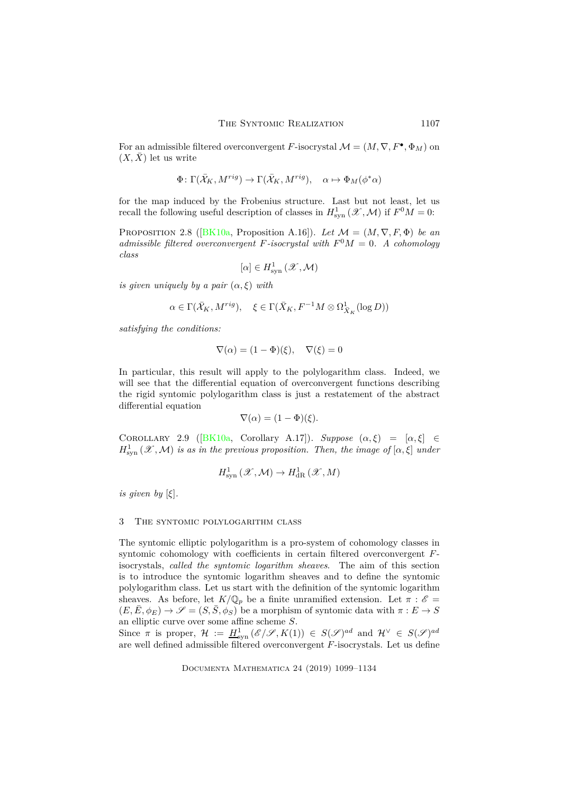For an admissible filtered overconvergent *F*-isocrystal  $\mathcal{M} = (M, \nabla, F^{\bullet}, \Phi_M)$  on  $(X,\bar{X})$  let us write

$$
\Phi\colon \Gamma(\bar{\mathcal{X}}_K,M^{rig})\to \Gamma(\bar{\mathcal{X}}_K,M^{rig}),\quad \alpha\mapsto \Phi_M(\phi^*\alpha)
$$

<span id="page-8-0"></span>for the map induced by the Frobenius structure. Last but not least, let us recall the following useful description of classes in  $H_{\text{syn}}^1(\mathscr{X}, \mathcal{M})$  if  $F^0M = 0$ :

PROPOSITION2.8 ( $[BK10a,$  Proposition A.16]). Let  $\mathcal{M} = (M, \nabla, F, \Phi)$  be an *admissible filtered overconvergent F*-*isocrystal with*  $F^0M = 0$ *. A cohomology class*

$$
[\alpha]\in H^1_{\rm syn}\left(\mathscr X,\mathcal M\right)
$$

*is given uniquely by a pair*  $(\alpha, \xi)$  *with* 

$$
\alpha \in \Gamma (\bar{X}_K, M^{rig}), \quad \xi \in \Gamma (\bar{X}_K, F^{-1}M \otimes \Omega^1_{\bar{X}_K}(\log D))
$$

*satisfying the conditions:*

$$
\nabla(\alpha) = (1 - \Phi)(\xi), \quad \nabla(\xi) = 0
$$

In particular, this result will apply to the polylogarithm class. Indeed, we will see that the differential equation of overconvergent functions describing the rigid syntomic polylogarithm class is just a restatement of the abstract differential equation

$$
\nabla(\alpha) = (1 - \Phi)(\xi).
$$

Corollary 2.9([\[BK10a,](#page-33-5) Corollary A.17]). *Suppose* (*α, ξ*) = [*α, ξ*] ∈  $H_{\text{syn}}^1(\mathscr{X},\mathcal{M})$  *is as in the previous proposition. Then, the image of*  $[\alpha,\xi]$  *under* 

$$
H^1_{\rm syn}\left({\mathscr X},{\mathcal M}\right)\to H^1_{\rm dR}\left({\mathscr X},M\right)
$$

*is given by*  $[\xi]$ *.* 

#### 3 The syntomic polylogarithm class

The syntomic elliptic polylogarithm is a pro-system of cohomology classes in syntomic cohomology with coefficients in certain filtered overconvergent *F*isocrystals, *called the syntomic logarithm sheaves*. The aim of this section is to introduce the syntomic logarithm sheaves and to define the syntomic polylogarithm class. Let us start with the definition of the syntomic logarithm sheaves. As before, let  $K/\mathbb{Q}_p$  be a finite unramified extension. Let  $\pi : \mathscr{E} =$  $(E, \bar{E}, \phi_E) \rightarrow \mathscr{S} = (S, \bar{S}, \phi_S)$  be a morphism of syntomic data with  $\pi : E \rightarrow S$ an elliptic curve over some affine scheme *S*.

Since  $\pi$  is proper,  $\mathcal{H} := \underline{H}^1_{syn}(\mathscr{E}/\mathscr{S}, K(1)) \in S(\mathscr{S})^{ad}$  and  $\mathcal{H}^{\vee} \in S(\mathscr{S})^{ad}$ are well defined admissible filtered overconvergent *F*-isocrystals. Let us define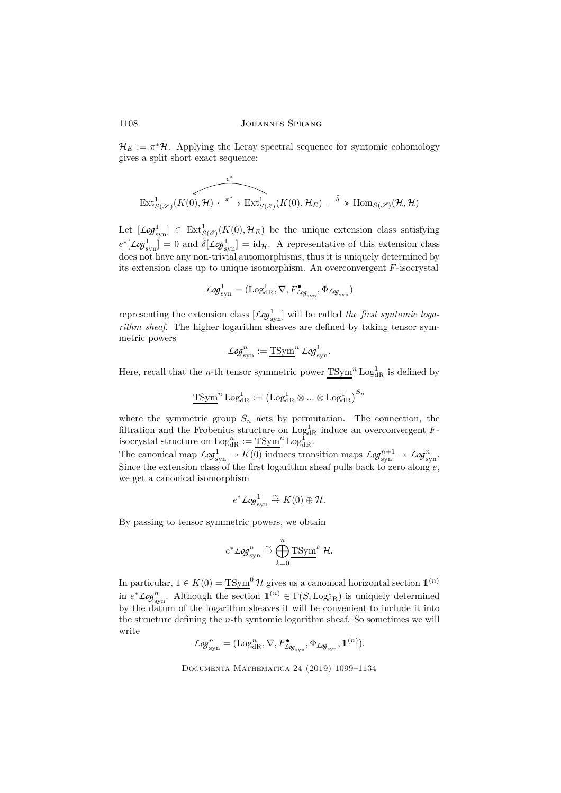$\mathcal{H}_E := \pi^* \mathcal{H}$ . Applying the Leray spectral sequence for syntomic cohomology gives a split short exact sequence:

$$
\overbrace{\mathrm{Ext}^1_{S(\mathscr{S})}(K(0),\mathcal{H})\overset{e^*}{\xrightarrow{\qquad \qquad }}\mathrm{Ext}^1_{S(\mathscr{E})}(K(0),\mathcal{H}_E)\overset{\tilde{\delta}}{\xrightarrow{\qquad \qquad }}\mathrm{Hom}_{S(\mathscr{S})}(\mathcal{H},\mathcal{H})}
$$

Let  $[\text{Log}^1_{syn}] \in \text{Ext}^1_{S(\mathscr{E})}(K(0), \mathcal{H}_E)$  be the unique extension class satisfying  $e^*$ [*Log*<sup>1</sup><sub>syn</sub>] = 0 and  $\tilde{\delta}$ [*Log*<sup>1</sup><sub>syn</sub>] = id<sub>H</sub>. A representative of this extension class does not have any non-trivial automorphisms, thus it is uniquely determined by its extension class up to unique isomorphism. An overconvergent *F*-isocrystal

$$
\mathcal{L}\text{og}^1_{\text{syn}} = (\text{Log}^1_{\text{dR}}, \nabla, F^{\bullet}_{\mathcal{L}\text{og}_{\text{syn}}}, \Phi_{\mathcal{L}\text{og}_{\text{syn}}})
$$

representing the extension class  $[\text{Log}_{syn}^1]$  will be called *the first syntomic logarithm sheaf*. The higher logarithm sheaves are defined by taking tensor symmetric powers

$$
\mathcal{L}og_{\text{syn}}^n := \underline{\text{TSym}}^n \mathcal{L}og_{\text{syn}}^1.
$$

Here, recall that the *n*-th tensor symmetric power  $T\text{Sym}^n \text{Log}_{\text{dR}}^1$  is defined by

$$
\operatorname{\overline{TSym}}^n\operatorname{Log}_{\operatorname{dR}}^1:=\left(\operatorname{Log}_{\operatorname{dR}}^1\otimes...\otimes\operatorname{Log}_{\operatorname{dR}}^1\right)^{S_n}
$$

where the symmetric group  $S_n$  acts by permutation. The connection, the filtration and the Frobenius structure on  $\text{Log}^1_{\text{dR}}$  induce an overconvergent *F*isocrystal structure on  $\text{Log}_{\text{dR}}^n := \text{TSym}^n \text{Log}_{\text{dR}}^1$ .

The canonical map  $Log_{syn}^1 \rightarrow K(0)$  induces transition maps  $Log_{syn}^{n+1} \rightarrow Log_{syn}^n$ . Since the extension class of the first logarithm sheaf pulls back to zero along *e*, we get a canonical isomorphism

$$
e^* \mathcal{L}og_{\text{syn}}^1 \overset{\sim}{\rightarrow} K(0) \oplus \mathcal{H}.
$$

By passing to tensor symmetric powers, we obtain

$$
e^* \mathcal{L}og_{\rm syn}^n \overset{\sim}{\to} \bigoplus_{k=0}^n \underline{\text{TSym}}^k \mathcal{H}.
$$

In particular,  $1 \in K(0) = TSym^0$  H gives us a canonical horizontal section  $\mathbb{1}^{(n)}$ in  $e^* \mathcal{L}og_{syn}^n$ . Although the section  $\mathbb{1}^{(n)} \in \Gamma(S, \text{Log}_{dR}^1)$  is uniquely determined by the datum of the logarithm sheaves it will be convenient to include it into the structure defining the *n*-th syntomic logarithm sheaf. So sometimes we will write

$$
\mathcal{L}\textit{og}^n_\text{syn} = (\mathrm{Log}^n_\text{dR}, \nabla, F^\bullet_{\mathcal{L}\textit{og}_\text{syn}}, \Phi_{\mathcal{L}\textit{og}_\text{syn}}, 1\hspace{-0.09cm}1^{(n)}).
$$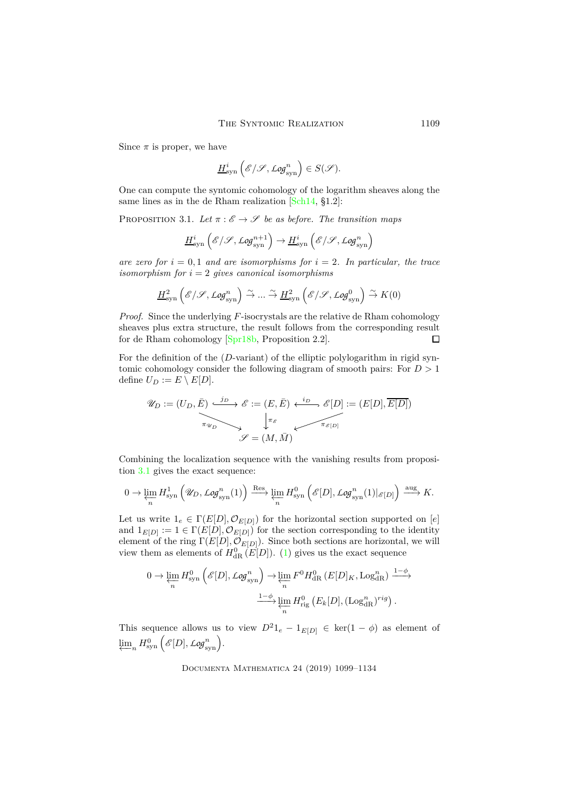Since  $\pi$  is proper, we have

$$
\underline{H}^i_{\rm syn}\left({\mathscr E}/{\mathscr S}, {\rm Log}^n_{\rm syn}\right)\in S({\mathscr S}).
$$

<span id="page-10-0"></span>One can compute the syntomic cohomology of the logarithm sheaves along the same lines as in the de Rham realization [\[Sch14,](#page-34-8) §1.2]:

PROPOSITION 3.1. Let  $\pi : \mathscr{E} \to \mathscr{S}$  be as before. The transition maps

$$
\underline{H}^i_{\rm syn}\left({\mathscr E}/{\mathscr S}, {\mathcal Log}_{\rm syn}^{n+1}\right) \to \underline{H}^i_{\rm syn}\left({\mathscr E}/{\mathscr S}, {\mathcal Log}_{\rm syn}^n\right)
$$

*are zero for*  $i = 0, 1$  *and are isomorphisms for*  $i = 2$ *. In particular, the trace isomorphism for*  $i = 2$  *gives canonical isomorphisms* 

$$
\underline{H}^2_{\rm syn}\left({\mathscr E}/{\mathscr S}, {\mathscr Log}^n_{\rm syn}\right)\stackrel{\sim}{\to} \dots \stackrel{\sim}{\to} \underline{H}^2_{\rm syn}\left({\mathscr E}/{\mathscr S}, {\mathscr Log}^0_{\rm syn}\right) \stackrel{\sim}{\to} K(0)
$$

*Proof.* Since the underlying *F*-isocrystals are the relative de Rham cohomology sheaves plus extra structure, the result follows from the corresponding result for de Rham cohomology [\[Spr18b,](#page-34-4) Proposition 2.2].  $\Box$ 

For the definition of the (*D*-variant) of the elliptic polylogarithm in rigid syntomic cohomology consider the following diagram of smooth pairs: For *D >* 1 define  $U_D := E \setminus E[D]$ .

$$
\mathscr{U}_D := (U_D, \overline{E}) \xrightarrow{\text{in}} \mathscr{E} := (E, \overline{E}) \xleftarrow{\text{in}} \mathscr{E}[D] := (E[D], \overline{E[D]})
$$
\n
$$
\downarrow^{\pi_{\mathscr{E}}} \qquad \qquad \downarrow^{\pi_{\mathscr{E}}} \qquad \qquad \downarrow^{\pi_{\mathscr{E}}}
$$
\n
$$
\mathscr{S} = (M, \overline{M})
$$

Combining the localization sequence with the vanishing results from proposition [3.1](#page-10-0) gives the exact sequence:

$$
0 \to \varprojlim_{n} H^{1}_{\mathrm{syn}}\left(\mathscr{U}_{D}, \mathcal{L}\text{og}^{n}_{\mathrm{syn}}(1)\right) \xrightarrow{\mathrm{Res}} \varprojlim_{n} H^{0}_{\mathrm{syn}}\left(\mathscr{E}[D], \mathcal{L}\text{og}^{n}_{\mathrm{syn}}(1)|_{\mathscr{E}[D]}\right) \xrightarrow{\mathrm{aug}} K.
$$

Let us write  $1_e \in \Gamma(E[D], \mathcal{O}_{E[D]})$  for the horizontal section supported on [*e*] and  $1_{E[D]} := 1 \in \Gamma(E[D], \mathcal{O}_{E[D]})$  for the section corresponding to the identity element of the ring  $\Gamma(E[D], \mathcal{O}_{E[D]})$ . Since both sections are horizontal, we will view them as elements of  $H_{\text{dR}}^0$  (*E*[*D*]). [\(1\)](#page-6-0) gives us the exact sequence

$$
0 \to \varprojlim_{n} H_{\text{syn}}^{0}\left(\mathscr{E}[D], \mathscr{L}\mathscr{G}_{\text{syn}}^{n}\right) \to \varprojlim_{n} F^{0} H_{\text{dR}}^{0}\left(E[D]_{K}, \text{Log}_{\text{dR}}^{n}\right) \xrightarrow{1-\phi} \varprojlim_{n} H_{\text{rig}}^{0}\left(E_{k}[D], (\text{Log}_{\text{dR}}^{n})^{rig}\right).
$$

This sequence allows us to view  $D^2 1_e - 1_{E[D]} \in \text{ker}(1 - \phi)$  as element of  $\varprojlim_n H^0_\mathrm{syn}\left(\mathscr{E}[D], \mathscr{L}g^n_\mathrm{syn}\right).$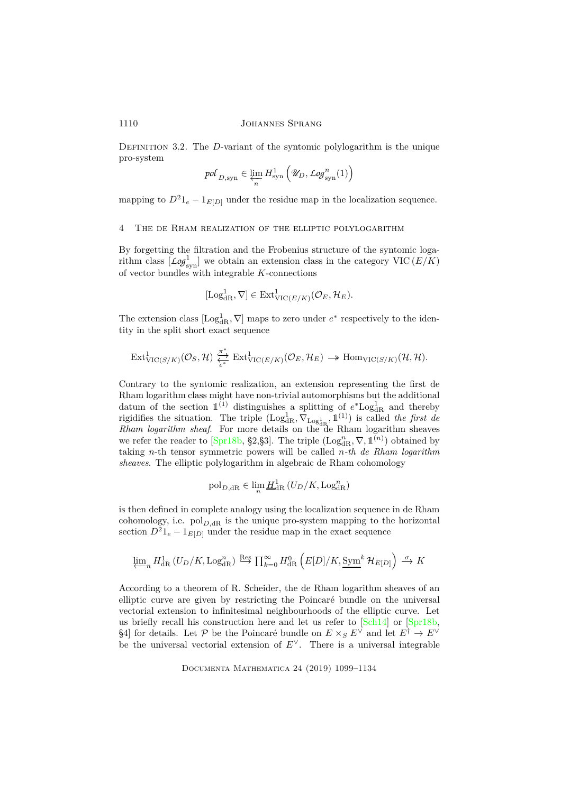DEFINITION 3.2. The *D*-variant of the syntomic polylogarithm is the unique pro-system

$$
\textit{pol}_{D,\rm syn}\in\varprojlim_n H^1_{\rm syn}\left(\mathscr{U}_D,\textit{Log}^n_{\rm syn}(1)\right)
$$

mapping to  $D^2 1_e - 1_{E[D]}$  under the residue map in the localization sequence.

#### 4 The de Rham realization of the elliptic polylogarithm

By forgetting the filtration and the Frobenius structure of the syntomic logarithm class  $\left[ \text{Log}^1_{\text{syn}} \right]$  we obtain an extension class in the category VIC  $(E/K)$ of vector bundles with integrable *K*-connections

$$
[\mathrm{Log}^1_{\mathrm{dR}}, \nabla] \in \mathrm{Ext}^1_{\mathrm{VIC}(E/K)}(\mathcal{O}_E, \mathcal{H}_E).
$$

The extension class  $[Log<sub>dR</sub><sup>1</sup>,  $\nabla$ ] maps to zero under  $e^*$  respectively to the iden$ tity in the split short exact sequence

$$
\mathrm{Ext}^1_{\mathrm{VIC}(S/K)}(\mathcal{O}_S, \mathcal{H}) \underset{e^*}{\overset{\pi^*}{\longleftrightarrow}} \mathrm{Ext}^1_{\mathrm{VIC}(E/K)}(\mathcal{O}_E, \mathcal{H}_E) \longrightarrow \mathrm{Hom}_{\mathrm{VIC}(S/K)}(\mathcal{H}, \mathcal{H}).
$$

Contrary to the syntomic realization, an extension representing the first de Rham logarithm class might have non-trivial automorphisms but the additional datum of the section  $1^{(1)}$  distinguishes a splitting of  $e^*Log_{\text{dR}}^1$  and thereby rigidifies the situation. The triple  $(Log_{dR}^1, \nabla_{Log_{dR}^1}, \mathbb{1}^{(1)})$  is called *the first de Rham logarithm sheaf*. For more details on the de Rham logarithm sheaves we refer the reader to [\[Spr18b,](#page-34-4) §2,§3]. The triple  $(\text{Log}_{dR}^n, \nabla, \mathbb{1}^{(n)})$  obtained by taking *n*-th tensor symmetric powers will be called *n-th de Rham logarithm sheaves*. The elliptic polylogarithm in algebraic de Rham cohomology

$$
\mathrm{pol}_{D,\mathrm{dR}} \in \lim_{n} \underline{H}_{\mathrm{dR}}^1(U_D/K, \mathrm{Log}_{\mathrm{dR}}^n)
$$

is then defined in complete analogy using the localization sequence in de Rham cohomology, i.e.  $pol_{D, \mathrm{dR}}$  is the unique pro-system mapping to the horizontal section  $D^2 1_e - 1_{E[D]}$  under the residue map in the exact sequence

$$
\varprojlim\nolimits_n H^1_{\rm dR}\left(U_D/K, \operatorname{Log}^n_{\rm dR}\right) \stackrel{{\rm Res}}{\longrightarrow} \prod\nolimits_{k=0}^\infty H^0_{\rm dR}\left(E[D]/K, \operatorname{\underline{Sym}}^k \mathcal{H}_{E[D]}\right) \stackrel{\sigma}{\longrightarrow} K
$$

According to a theorem of R. Scheider, the de Rham logarithm sheaves of an elliptic curve are given by restricting the Poincaré bundle on the universal vectorial extension to infinitesimal neighbourhoods of the elliptic curve. Let us briefly recall his construction here and let us refer to  $\lfloor \text{Sch}14 \rfloor$  or  $\lfloor \text{Spr}18b \rfloor$ , §4] for details. Let  $P$  be the Poincaré bundle on  $E \times_S E^{\vee}$  and let  $E^{\dagger} \to E^{\vee}$ be the universal vectorial extension of *E*∨. There is a universal integrable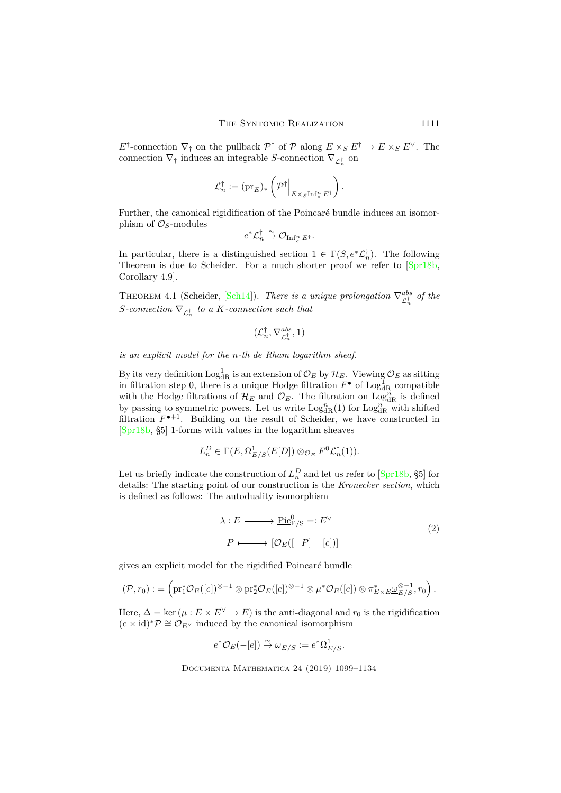*E*<sup>†</sup>-connection  $\nabla$ <sub>†</sub> on the pullback  $\mathcal{P}^{\dagger}$  of  $\mathcal{P}$  along  $E \times_S E^{\dagger} \to E \times_S E^{\vee}$ . The connection  $\nabla_{\uparrow}$  induces an integrable *S*-connection  $\nabla_{\mathcal{L}_n^{\dagger}}$  on

$$
\mathcal{L}_n^\dagger := (\mathrm{pr}_E)_*\left(\mathcal{P}^\dagger\Big|_{E\times_S\mathrm{Inf}_e^n\, E^\dagger}\right).
$$

Further, the canonical rigidification of the Poincaré bundle induces an isomorphism of  $\mathcal{O}_S$ -modules

$$
e^*{\mathcal{L}}_n^\dagger \stackrel{\sim}{\to} {\mathcal{O}}_{\operatorname{Inf}_e^n E^\dagger}.
$$

In particular, there is a distinguished section  $1 \in \Gamma(S, e^*\mathcal{L}_n^{\dagger})$ . The following Theorem is due to Scheider. For a much shorter proof we refer to [\[Spr18b,](#page-34-4) Corollary 4.9].

**THEOREM 4.1 (Scheider, [\[Sch14\]](#page-34-8)).** *There is a unique prolongation*  $\nabla_{\mathcal{L}_n^{\dagger}}^{abs}$  of the  $S$ *-connection*  $\nabla_{\mathcal{L}_n^{\dagger}}$  *to a*  $K$ *-connection such that* 

$$
(\mathcal{L}_n^\dagger, \nabla^{abs}_{\mathcal{L}_n^\dagger}, 1)
$$

*is an explicit model for the n-th de Rham logarithm sheaf.*

By its very definition  $\text{Log}^1_{\text{dR}}$  is an extension of  $\mathcal{O}_E$  by  $\mathcal{H}_E$ . Viewing  $\mathcal{O}_E$  as sitting in filtration step 0, there is a unique Hodge filtration  $F^{\bullet}$  of  $\text{Log}^{1}_{\text{dR}}$  compatible with the Hodge filtrations of  $\mathcal{H}_E$  and  $\mathcal{O}_E$ . The filtration on Log<sub>dR</sub> is defined by passing to symmetric powers. Let us write  $\text{Log}_{dR}^n(1)$  for  $\text{Log}_{dR}^n$  with shifted filtration  $F^{\bullet+1}$ . Building on the result of Scheider, we have constructed in [\[Spr18b,](#page-34-4) §5] 1-forms with values in the logarithm sheaves

$$
L_n^D \in \Gamma(E, \Omega_{E/S}^1(E[D]) \otimes_{\mathcal{O}_E} F^0 \mathcal{L}_n^{\dagger}(1)).
$$

Let us briefly indicate the construction of  $L_n^D$  and let us refer to [\[Spr18b,](#page-34-4) §5] for details: The starting point of our construction is the *Kronecker section*, which is defined as follows: The autoduality isomorphism

$$
\lambda: E \longrightarrow \underline{\text{Pic}_{E/S}^0} =: E^{\vee}
$$
  
\n
$$
P \longmapsto [\mathcal{O}_E([-P] - [e])]
$$
 (2)

gives an explicit model for the rigidified Poincaré bundle

$$
(\mathcal{P},r_0):=\left(\mathrm{pr}_1^*\mathcal{O}_E([e])^{\otimes -1}\otimes\mathrm{pr}_2^*\mathcal{O}_E([e])^{\otimes -1}\otimes\mu^*\mathcal{O}_E([e])\otimes \pi_{E\times E}^*\underline{\omega}_{E/S}^{\otimes -1},r_0\right).
$$

Here,  $\Delta = \ker(\mu : E \times E^{\vee} \to E)$  is the anti-diagonal and  $r_0$  is the rigidification  $(e \times id)^* \mathcal{P} \cong \mathcal{O}_{E^{\vee}}$  induced by the canonical isomorphism

$$
e^* \mathcal{O}_E(-[e]) \xrightarrow{\sim} \underline{\omega}_{E/S} := e^* \Omega^1_{E/S}.
$$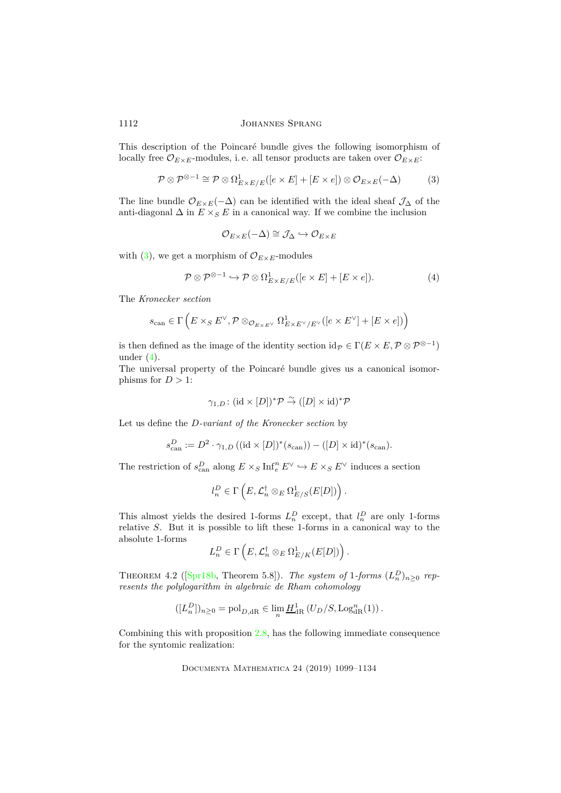This description of the Poincaré bundle gives the following isomorphism of locally free  $\mathcal{O}_{E\times E}$ -modules, i.e. all tensor products are taken over  $\mathcal{O}_{E\times E}$ :

$$
\mathcal{P} \otimes \mathcal{P}^{\otimes -1} \cong \mathcal{P} \otimes \Omega^1_{E \times E/E}([e \times E] + [E \times e]) \otimes \mathcal{O}_{E \times E}(-\Delta) \tag{3}
$$

The line bundle  $\mathcal{O}_{E\times E}(-\Delta)$  can be identified with the ideal sheaf  $\mathcal{J}_{\Delta}$  of the anti-diagonal  $\Delta$  in  $E \times_S E$  in a canonical way. If we combine the inclusion

<span id="page-13-0"></span>
$$
\mathcal{O}_{E \times E}(-\Delta) \cong \mathcal{J}_{\Delta} \hookrightarrow \mathcal{O}_{E \times E}
$$

with [\(3\)](#page-13-0), we get a morphism of  $\mathcal{O}_{E \times E}$ -modules

<span id="page-13-1"></span>
$$
\mathcal{P} \otimes \mathcal{P}^{\otimes -1} \hookrightarrow \mathcal{P} \otimes \Omega^1_{E \times E/E}([e \times E] + [E \times e]). \tag{4}
$$

The *Kronecker section*

$$
s_\mathrm{can}\in\Gamma\left(E\times_S E^\vee,\mathcal{P}\otimes_{\mathcal{O}_{E\times E^\vee}}\Omega^1_{E\times E^\vee/E^\vee}([e\times E^\vee]+[E\times e])\right)
$$

is then defined as the image of the identity section  $id_{\mathcal{P}} \in \Gamma(E \times E, \mathcal{P} \otimes \mathcal{P}^{\otimes -1})$ under  $(4)$ .

The universal property of the Poincaré bundle gives us a canonical isomorphisms for  $D > 1$ :

$$
\gamma_{1,D} \colon (\mathrm{id} \times [D])^* \mathcal{P} \overset{\sim}{\to} ([D] \times \mathrm{id})^* \mathcal{P}
$$

Let us define the *D-variant of the Kronecker section* by

$$
s_{\text{can}}^D := D^2 \cdot \gamma_{1,D} \left( (\text{id} \times [D])^*(s_{\text{can}}) \right) - ([D] \times \text{id})^*(s_{\text{can}}).
$$

The restriction of  $s_{\text{can}}^D$  along  $E \times_S \text{Inf}_e^n E^\vee \hookrightarrow E \times_S E^\vee$  induces a section

$$
l_n^D \in \Gamma\left(E, \mathcal{L}_n^{\dagger} \otimes_E \Omega^1_{E/S}(E[D])\right).
$$

This almost yields the desired 1-forms  $L_n^D$  except, that  $l_n^D$  are only 1-forms relative *S*. But it is possible to lift these 1-forms in a canonical way to the absolute 1-forms

$$
L_n^D \in \Gamma\left(E, \mathcal{L}_n^{\dagger} \otimes_E \Omega^1_{E/K}(E[D])\right).
$$

THEOREM4.2 ( $[\text{Spr18b, Theorem 5.8}]$ ). *The system of* 1*-forms*  $(L_n^D)_{n \geq 0}$  *represents the polylogarithm in algebraic de Rham cohomology*

$$
([L_n^D])_{n\geq 0} = \text{pol}_{D,\text{dR}} \in \lim_n \underline{H}_{\text{dR}}^1(U_D/S, \text{Log}_{\text{dR}}^n(1)).
$$

<span id="page-13-2"></span>Combining this with proposition [2.8,](#page-8-0) has the following immediate consequence for the syntomic realization: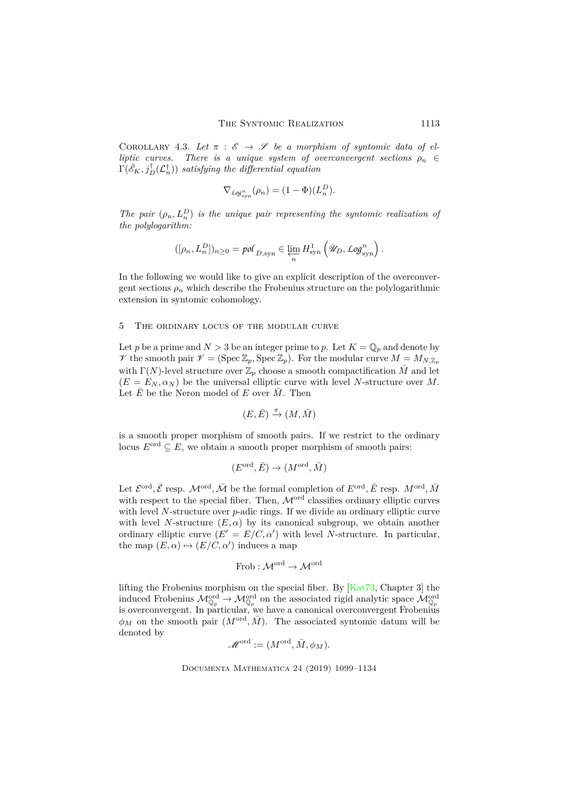COROLLARY 4.3. Let  $\pi : \mathscr{E} \to \mathscr{S}$  be a morphism of syntomic data of el*liptic curves.* There is a unique system of overconvergent sections  $\rho_n \in$  $\Gamma(\bar{\mathscr{E}}_K, j_D^{\dagger}(\mathcal{L}_n^{\dagger}))$  *satisfying the differential equation* 

$$
\nabla_{\text{Log}_{syn}}(\rho_n) = (1 - \Phi)(L_n^D).
$$

*The pair*  $(\rho_n, L_n^D)$  *is the unique pair representing the syntomic realization of the polylogarithm:*

$$
([\rho_n, L_n^D])_{n \geq 0} = \text{pol}_{D, \text{syn}} \in \varprojlim_n H^1_{\text{syn}}\left(\mathscr{U}_D, \text{Log}_\text{syn}^n\right).
$$

In the following we would like to give an explicit description of the overconvergent sections  $\rho_n$  which describe the Frobenius structure on the polylogarithmic extension in syntomic cohomology.

# 5 The ordinary locus of the modular curve

Let *p* be a prime and  $N > 3$  be an integer prime to *p*. Let  $K = \mathbb{Q}_p$  and denote by V the smooth pair  $\mathcal{V} = (\text{Spec } \mathbb{Z}_p, \text{Spec } \mathbb{Z}_p)$ . For the modular curve  $M = M_{N, \mathbb{Z}_p}$ with  $\Gamma(N)$ -level structure over  $\mathbb{Z}_p$  choose a smooth compactification  $\overline{M}$  and let  $(E = E_N, \alpha_N)$  be the universal elliptic curve with level *N*-structure over *M*. Let  $\bar{E}$  be the Neron model of *E* over  $\bar{M}$ . Then

$$
(E,\bar{E})\xrightarrow{\pi} (M,\bar{M})
$$

is a smooth proper morphism of smooth pairs. If we restrict to the ordinary locus  $E^{\text{ord}} \subseteq E$ , we obtain a smooth proper morphism of smooth pairs:

$$
(E^{\text{ord}}, \bar{E}) \to (M^{\text{ord}}, \bar{M})
$$

Let  $\mathcal{E}^{\text{ord}}, \bar{\mathcal{E}}$  resp.  $\mathcal{M}^{\text{ord}}, \bar{\mathcal{M}}$  be the formal completion of  $E^{\text{ord}}, \bar{E}$  resp.  $M^{\text{ord}}, \bar{M}$ with respect to the special fiber. Then,  $\mathcal{M}^{\text{ord}}$  classifies ordinary elliptic curves with level *N*-structure over *p*-adic rings. If we divide an ordinary elliptic curve with level *N*-structure  $(E, \alpha)$  by its canonical subgroup, we obtain another ordinary elliptic curve  $(E' = E/C, \alpha')$  with level *N*-structure. In particular, the map  $(E, \alpha) \mapsto (E/C, \alpha')$  induces a map

Frob : 
$$
\mathcal{M}^{\text{ord}} \to \mathcal{M}^{\text{ord}}
$$

lifting the Frobenius morphism on the special fiber. By [\[Kat73,](#page-34-9) Chapter 3] the induced Frobenius  $M_{\mathbb{Q}_p}^{\text{ord}} \to M_{\mathbb{Q}_p}^{\text{ord}}$  on the associated rigid analytic space  $M_{\mathbb{Q}_p}^{\text{ord}}$ is overconvergent. In particular, we have a canonical overconvergent Frobenius  $\phi_M$  on the smooth pair  $(M^{\text{ord}}, \bar{M})$ . The associated syntomic datum will be denoted by

$$
\mathscr{M}^{\operatorname{ord}}:=(M^{\operatorname{ord}},\bar{M},\phi_M).
$$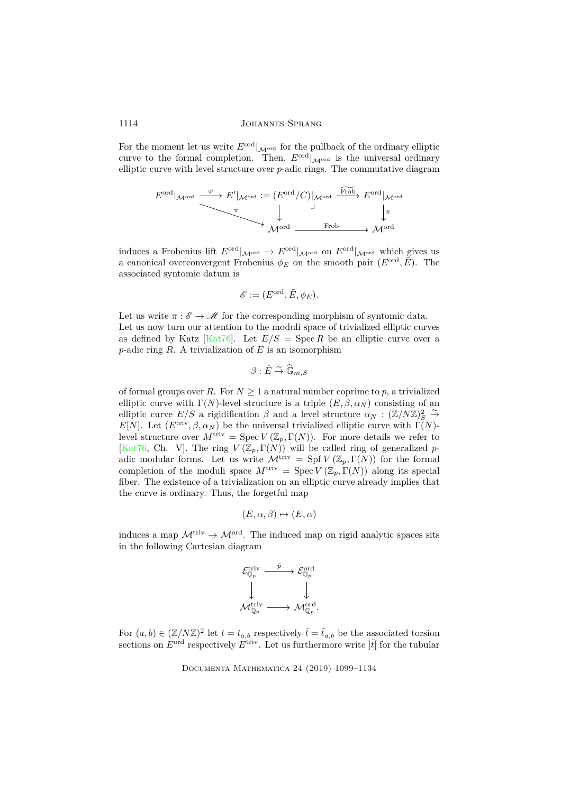For the moment let us write  $E^{\text{ord}}|_{\mathcal{M}^{\text{ord}}}$  for the pullback of the ordinary elliptic curve to the formal completion. Then,  $E^{\text{ord}}|_{\mathcal{M}^{\text{ord}}}$  is the universal ordinary elliptic curve with level structure over *p*-adic rings. The commutative diagram

$$
E^{\text{ord}}|_{\mathcal{M}^{\text{ord}}}\xrightarrow{\varphi} E'|_{\mathcal{M}^{\text{ord}}} := (E^{\text{ord}}/C)|_{\mathcal{M}^{\text{ord}}}\xrightarrow{\text{Frob}} E^{\text{ord}}|_{\mathcal{M}^{\text{ord}}}
$$

$$
\downarrow \qquad \qquad \downarrow \qquad \qquad \downarrow
$$

$$
\mathcal{M}^{\text{ord}}\xrightarrow{\text{Frob}} \mathcal{M}^{\text{ord}}
$$

induces a Frobenius lift  $E^{\text{ord}}|_{\mathcal{M}^{\text{ord}}} \to E^{\text{ord}}|_{\mathcal{M}^{\text{ord}}}$  on  $E^{\text{ord}}|_{\mathcal{M}^{\text{ord}}}$  which gives us a canonical overconvergent Frobenius  $\phi_E$  on the smooth pair  $(E^{\text{ord}}, \overline{E})$ . The associated syntomic datum is

$$
\mathscr{E} := (E^{\mathrm{ord}}, \bar{E}, \phi_E).
$$

Let us write  $\pi : \mathscr{E} \to \mathscr{M}$  for the corresponding morphism of syntomic data. Let us now turn our attention to the moduli space of trivialized elliptic curves as defined by Katz [\[Kat76\]](#page-34-10). Let  $E/S = \text{Spec } R$  be an elliptic curve over a *p*-adic ring *R*. A trivialization of *E* is an isomorphism

$$
\beta:\hat E\stackrel\sim\to \widehat{\mathbb G}_{m,S}
$$

of formal groups over *R*. For  $N \geq 1$  a natural number coprime to *p*, a trivialized elliptic curve with  $\Gamma(N)$ -level structure is a triple  $(E, \beta, \alpha_N)$  consisting of an elliptic curve  $E/S$  a rigidification  $\beta$  and a level structure  $\alpha_N : (\mathbb{Z}/N\mathbb{Z})_S^2 \xrightarrow{\sim}$ *E*[*N*]. Let  $(E^{\text{triv}}, \beta, \alpha_N)$  be the universal trivialized elliptic curve with  $\Gamma(N)$ level structure over  $M^{\text{triv}} = \text{Spec } V(\mathbb{Z}_p, \Gamma(N))$ . For more details we refer to [\[Kat76,](#page-34-10) Ch. V]. The ring  $V(\mathbb{Z}_p, \Gamma(N))$  will be called ring of generalized *p*adic modular forms. Let us write  $\mathcal{M}^{\text{triv}} = Spf V(\mathbb{Z}_p, \Gamma(N))$  for the formal completion of the moduli space  $M^{\text{triv}} = \text{Spec } V(\mathbb{Z}_p, \Gamma(N))$  along its special fiber. The existence of a trivialization on an elliptic curve already implies that the curve is ordinary. Thus, the forgetful map

$$
(E, \alpha, \beta) \mapsto (E, \alpha)
$$

induces a map  $\mathcal{M}^{\text{triv}} \to \mathcal{M}^{\text{ord}}$ . The induced map on rigid analytic spaces sits in the following Cartesian diagram

$$
\begin{array}{ccc} \mathcal{E}_{\mathbb{Q}_p}^{\mathrm{triv}}&\stackrel{\tilde{p}}{\longrightarrow} & \mathcal{E}_{\mathbb{Q}_p}^{\mathrm{ord}}\\ \downarrow & & \downarrow \\ \mathcal{M}_{\mathbb{Q}_p}^{\mathrm{triv}}&\stackrel{}{\longrightarrow} & \mathcal{M}_{\mathbb{Q}_p}^{\mathrm{ord}}. \end{array}
$$

For  $(a, b) \in (\mathbb{Z}/N\mathbb{Z})^2$  let  $t = t_{a,b}$  respectively  $\tilde{t} = \tilde{t}_{a,b}$  be the associated torsion sections on  $E^{\text{ord}}$  respectively  $E^{\text{triv}}$ . Let us furthermore write  $\left|\tilde{t}\right|$  for the tubular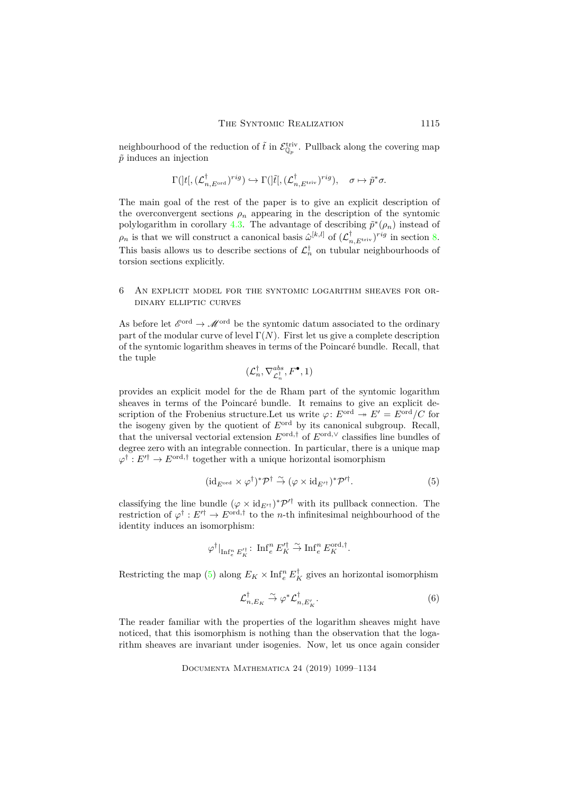neighbourhood of the reduction of  $\tilde{t}$  in  $\mathcal{E}_{\mathbb{Q}_p}^{\text{triv}}$ . Pullback along the covering map  $\tilde{p}$  induces an injection

$$
\Gamma(]t[,({\mathcal L}_{n,E^{\rm ord}}^\dagger)^{rig}) \hookrightarrow \Gamma(]\tilde t[,({\mathcal L}_{n,E^{\rm triv}}^\dagger)^{rig}), \quad \sigma \mapsto \tilde p^*\sigma.
$$

The main goal of the rest of the paper is to give an explicit description of the overconvergent sections  $\rho_n$  appearing in the description of the syntomic polylogarithm in corollary [4.3.](#page-13-2) The advantage of describing  $\tilde{p}^*(\rho_n)$  instead of  $\rho_n$  is that we will construct a canonical basis  $\hat{\omega}^{[k,l]}$  of  $(\mathcal{L}^{\dagger}_{n,E^{\text{triv}}})^{rig}$  in section [8.](#page-22-0) This basis allows us to describe sections of  $\mathcal{L}_n^{\dagger}$  on tubular neighbourhoods of torsion sections explicitly.

# 6 An explicit model for the syntomic logarithm sheaves for ordinary elliptic curves

As before let  $\mathscr{E}^{\text{ord}} \to \mathscr{M}^{\text{ord}}$  be the syntomic datum associated to the ordinary part of the modular curve of level  $\Gamma(N)$ . First let us give a complete description of the syntomic logarithm sheaves in terms of the Poincaré bundle. Recall, that the tuple

$$
(\mathcal{L}_n^\dagger, \nabla^{abs}_{\mathcal{L}_n^\dagger}, F^\bullet, 1)
$$

provides an explicit model for the de Rham part of the syntomic logarithm sheaves in terms of the Poincaré bundle. It remains to give an explicit description of the Frobenius structure. Let us write  $\varphi$ :  $E^{ord} \twoheadrightarrow E' = E^{ord}/C$  for the isogeny given by the quotient of *E*ord by its canonical subgroup. Recall, that the universal vectorial extension  $E^{\text{ord},\dagger}$  of  $E^{\text{ord},\vee}$  classifies line bundles of degree zero with an integrable connection. In particular, there is a unique map  $\varphi^{\dagger}: E'^{\dagger} \to E^{\text{ord}, \dagger}$  together with a unique horizontal isomorphism

<span id="page-16-0"></span>
$$
(\mathrm{id}_{E^{\mathrm{ord}}}\times\varphi^{\dagger})^*\mathcal{P}^{\dagger}\stackrel{\sim}{\to}(\varphi\times\mathrm{id}_{E'^{\dagger}})^*\mathcal{P}'^{\dagger}.\tag{5}
$$

classifying the line bundle  $(\varphi \times id_{E'^\dagger})^* \mathcal{P}'^{\dagger}$  with its pullback connection. The restriction of  $\varphi^{\dagger}: E'^{\dagger} \to E^{\text{ord}, \dagger}$  to the *n*-th infinitesimal neighbourhood of the identity induces an isomorphism:

$$
\varphi^\dagger|_{{\rm Inf}^n_e\,E_K'^\dagger}\colon\,{\rm Inf}^n_e\,E_K'^\dagger\stackrel{\sim}{\to} {\rm Inf}^n_e\,E_K^{{\rm ord},\dagger}.
$$

Restricting the map [\(5\)](#page-16-0) along  $E_K \times \text{Inf}_{e}^{n} E_K^{\dagger}$  gives an horizontal isomorphism

<span id="page-16-1"></span>
$$
\mathcal{L}_{n,E_K}^{\dagger} \stackrel{\sim}{\to} \varphi^* \mathcal{L}_{n,E_K'}^{\dagger}.
$$

The reader familiar with the properties of the logarithm sheaves might have noticed, that this isomorphism is nothing than the observation that the logarithm sheaves are invariant under isogenies. Now, let us once again consider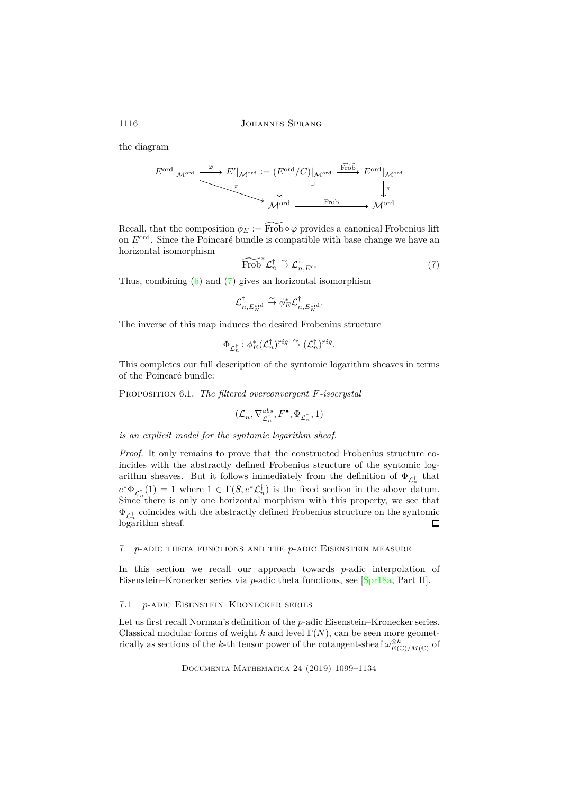the diagram

$$
E^{\text{ord}}|_{\mathcal{M}^{\text{ord}}} \xrightarrow{\varphi} E'|_{\mathcal{M}^{\text{ord}}} := (E^{\text{ord}}/C)|_{\mathcal{M}^{\text{ord}}} \xrightarrow{\text{Frob}} E^{\text{ord}}|_{\mathcal{M}^{\text{ord}}}
$$

$$
\downarrow \qquad \qquad \downarrow
$$

$$
\mathcal{M}^{\text{ord}} \xrightarrow{\text{Frob}} \mathcal{M}^{\text{ord}}
$$

Recall, that the composition  $\phi_E := \widetilde{\text{Frob}} \circ \varphi$  provides a canonical Frobenius lift on *E*ord. Since the Poincaré bundle is compatible with base change we have an horizontal isomorphism

<span id="page-17-0"></span>
$$
\widetilde{\text{Frob}}^* \mathcal{L}_n^{\dagger} \overset{\sim}{\to} \mathcal{L}_{n,E'}^{\dagger}.
$$
 (7)

Thus, combining [\(6\)](#page-16-1) and [\(7\)](#page-17-0) gives an horizontal isomorphism

$$
\mathcal{L}_{n,E^{\mathrm{ord}}_K}^{\dagger}\stackrel{\sim}{\to} \phi_E^*\mathcal{L}_{n,E^{\mathrm{ord}}_K}^{\dagger}.
$$

The inverse of this map induces the desired Frobenius structure

$$
\Phi_{\mathcal{L}_n^{\dagger}} \colon \phi_E^*(\mathcal{L}_n^{\dagger})^{rig} \stackrel{\sim}{\to} (\mathcal{L}_n^{\dagger})^{rig}.
$$

This completes our full description of the syntomic logarithm sheaves in terms of the Poincaré bundle:

Proposition 6.1. *The filtered overconvergent F-isocrystal*

$$
(\mathcal{L}_n^\dagger, \nabla^{abs}_{\mathcal{L}_n^\dagger}, F^\bullet, \Phi_{\mathcal{L}_n^\dagger}, 1)
$$

*is an explicit model for the syntomic logarithm sheaf.*

*Proof.* It only remains to prove that the constructed Frobenius structure coincides with the abstractly defined Frobenius structure of the syntomic logarithm sheaves. But it follows immediately from the definition of  $\Phi_{\mathcal{L}_n^{\dagger}}$  that  $e^*\Phi_{\mathcal{L}_n^{\dagger}}(1) = 1$  where  $1 \in \Gamma(S, e^*\mathcal{L}_n^{\dagger})$  is the fixed section in the above datum. Since there is only one horizontal morphism with this property, we see that  $\Phi_{{\mathcal L}_n^{\dagger}}$  coincides with the abstractly defined Frobenius structure on the syntomic  $\log$ arithm sheaf.  $\Box$ 

### 7 *p*-adic theta functions and the *p*-adic Eisenstein measure

In this section we recall our approach towards *p*-adic interpolation of Eisenstein–Kronecker series via *p*-adic theta functions, see [\[Spr18a,](#page-34-3) Part II].

# 7.1 *p*-adic Eisenstein–Kronecker series

Let us first recall Norman's definition of the *p*-adic Eisenstein–Kronecker series. Classical modular forms of weight *k* and level  $\Gamma(N)$ , can be seen more geometrically as sections of the *k*-th tensor power of the cotangent-sheaf  $\omega_{E(\mathbb{C})/M(\mathbb{C})}^{\otimes k}$  of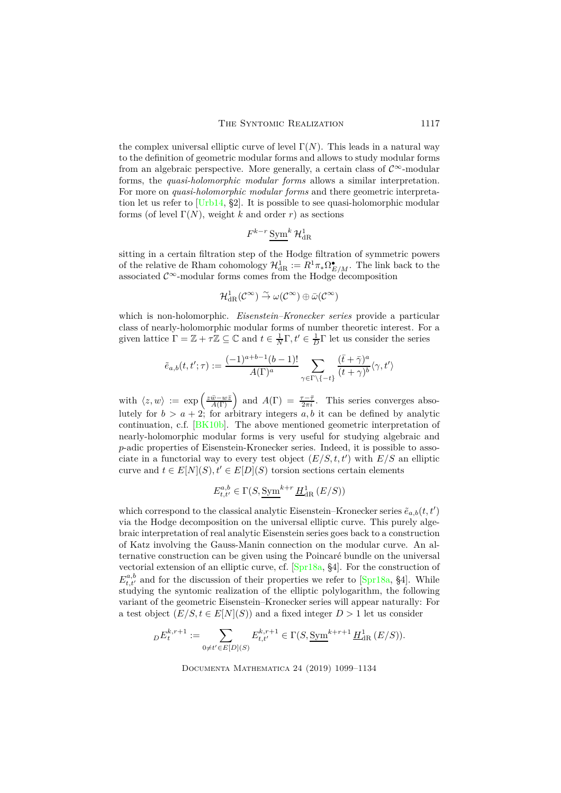the complex universal elliptic curve of level  $\Gamma(N)$ . This leads in a natural way to the definition of geometric modular forms and allows to study modular forms from an algebraic perspective. More generally, a certain class of  $\mathcal{C}^{\infty}$ -modular forms, the *quasi-holomorphic modular forms* allows a similar interpretation. For more on *quasi-holomorphic modular forms* and there geometric interpretation let us refer to [\[Urb14,](#page-34-11) §2]. It is possible to see quasi-holomorphic modular forms (of level  $\Gamma(N)$ , weight *k* and order *r*) as sections

$$
F^{k-r} \, \underline{\mathrm{Sym}}^k \, \mathcal{H}^1_{\mathrm{dR}}
$$

sitting in a certain filtration step of the Hodge filtration of symmetric powers of the relative de Rham cohomology  $\mathcal{H}^1_{\mathrm{dR}} := R^1 \pi_* \Omega^{\bullet}_{E/M}$ . The link back to the associated  $\mathcal{C}^{\infty}$ -modular forms comes from the Hodge decomposition

$$
\mathcal{H}^1_{\mathrm{dR}}(\mathcal{C}^\infty)\overset{\sim}{\to}\omega(\mathcal{C}^\infty)\oplus\bar{\omega}(\mathcal{C}^\infty)
$$

which is non-holomorphic. *Eisenstein–Kronecker series* provide a particular class of nearly-holomorphic modular forms of number theoretic interest. For a given lattice  $\Gamma = \mathbb{Z} + \tau \mathbb{Z} \subseteq \mathbb{C}$  and  $t \in \frac{1}{N}\Gamma$ ,  $t' \in \frac{1}{D}\Gamma$  let us consider the series

$$
\tilde{e}_{a,b}(t,t';\tau):=\frac{(-1)^{a+b-1}(b-1)!}{A(\Gamma)^a}\sum_{\gamma\in\Gamma\backslash\{-t\}}\frac{(\bar{t}+\bar{\gamma})^a}{(t+\gamma)^b}\langle\gamma,t'\rangle
$$

with  $\langle z, w \rangle := \exp\left(\frac{z\bar{w}-w\bar{z}}{A(\Gamma)}\right)$  and  $A(\Gamma) = \frac{\tau-\bar{\tau}}{2\pi i}$ . This series converges absolutely for  $b > a + 2$ ; for arbitrary integers a, b it can be defined by analytic continuation, c.f. [\[BK10b\]](#page-33-8). The above mentioned geometric interpretation of nearly-holomorphic modular forms is very useful for studying algebraic and *p*-adic properties of Eisenstein-Kronecker series. Indeed, it is possible to associate in a functorial way to every test object  $(E/S, t, t')$  with  $E/S$  an elliptic curve and  $t \in E[N](S), t' \in E[D](S)$  torsion sections certain elements

$$
E_{t,t'}^{a,b} \in \Gamma(S, \underline{\mathrm{Sym}}^{k+r} \underline{H}_{\mathrm{dR}}^1(E/S))
$$

which correspond to the classical analytic Eisenstein–Kronecker series  $\tilde{e}_{a,b}(t,t')$ via the Hodge decomposition on the universal elliptic curve. This purely algebraic interpretation of real analytic Eisenstein series goes back to a construction of Katz involving the Gauss-Manin connection on the modular curve. An alternative construction can be given using the Poincaré bundle on the universal vectorial extension of an elliptic curve, cf. [\[Spr18a,](#page-34-3) §4]. For the construction of  $E^{a,b}_{t,t'}$  and for the discussion of their properties we refer to [\[Spr18a,](#page-34-3) §4]. While studying the syntomic realization of the elliptic polylogarithm, the following variant of the geometric Eisenstein–Kronecker series will appear naturally: For a test object  $(E/S, t \in E[N](S))$  and a fixed integer  $D > 1$  let us consider

$$
{}_D E^{k,r+1}_t:=\sum_{0 \neq t' \in E[D](S)} E^{k,r+1}_{t,t'} \in \Gamma(S,\underline{\mathrm{Sym}}^{k+r+1} \,\underline{H}^1_{\mathrm{dR}}\,(E/S)).
$$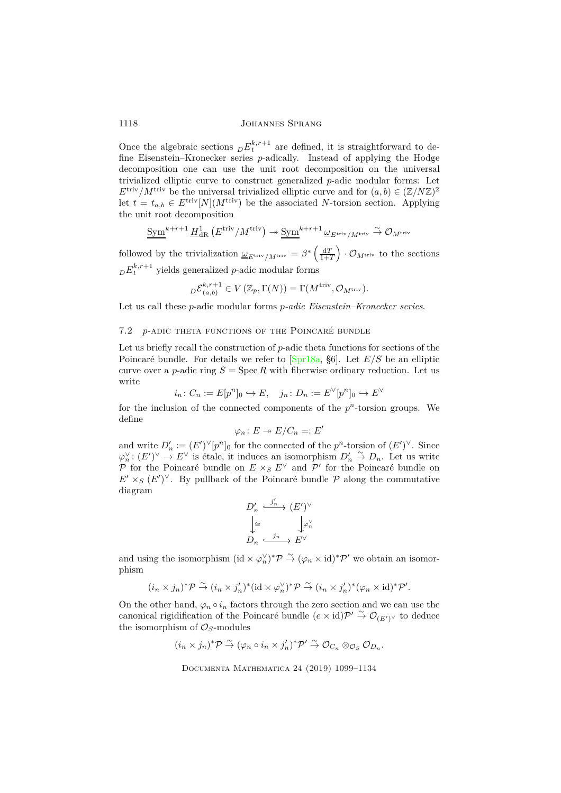Once the algebraic sections  $DE_t^{k,r+1}$  are defined, it is straightforward to define Eisenstein–Kronecker series *p*-adically. Instead of applying the Hodge decomposition one can use the unit root decomposition on the universal trivialized elliptic curve to construct generalized *p*-adic modular forms: Let  $E^{\text{triv}}/M^{\text{triv}}$  be the universal trivialized elliptic curve and for  $(a, b) \in (\mathbb{Z}/N\mathbb{Z})^2$ let  $t = t_{a,b} \in E^{\text{triv}}[N](M^{\text{triv}})$  be the associated *N*-torsion section. Applying the unit root decomposition

$$
\underline{\text{Sym}}^{k+r+1}\underline{H}_{\mathrm{dR}}^1\left(E^{\mathrm{triv}}/M^{\mathrm{triv}}\right)\twoheadrightarrow \underline{\text{Sym}}^{k+r+1}\underline{\omega}_{E^{\mathrm{triv}}/M^{\mathrm{triv}}}\stackrel{\sim}{\to}\mathcal{O}_{M^{\mathrm{triv}}}
$$

followed by the trivialization  $\underline{\omega}_{E^{\text{triv}}/M^{\text{triv}}} = \beta^* \left( \frac{dT}{1+T} \right)$  $\big) \cdot \mathcal{O}_{M^{\mathrm{triv}}}$  to the sections  $E_t^{k,r+1}$  yields generalized *p*-adic modular forms

$$
{}_{D}\mathcal{E}_{(a,b)}^{k,r+1} \in V\left(\mathbb{Z}_p,\Gamma(N)\right) = \Gamma(M^{\text{triv}}, \mathcal{O}_{M^{\text{triv}}}).
$$

Let us call these *p*-adic modular forms *p-adic Eisenstein–Kronecker series*.

### <span id="page-19-0"></span>7.2 *p*-adic theta functions of the Poincaré bundle

Let us briefly recall the construction of *p*-adic theta functions for sections of the Poincaré bundle. For details we refer to [\[Spr18a,](#page-34-3) §6]. Let *E/S* be an elliptic curve over a *p*-adic ring  $S = \text{Spec } R$  with fiberwise ordinary reduction. Let us write

$$
i_n\colon C_n:=E[p^n]_0\hookrightarrow E,\quad j_n\colon D_n:=E^\vee[p^n]_0\hookrightarrow E^\vee
$$

for the inclusion of the connected components of the  $p<sup>n</sup>$ -torsion groups. We define

$$
\varphi_n\colon E\twoheadrightarrow E/C_n=:E'
$$

and write  $D'_n := (E')^{\vee}[p^n]_0$  for the connected of the  $p^n$ -torsion of  $(E')^{\vee}$ . Since  $\varphi_n^{\vee}$ :  $(E')^{\vee} \stackrel{n}{\to} E^{\vee}$  is étale, it induces an isomorphism  $D'_n \stackrel{\sim}{\to} D_n$ . Let us write P for the Poincaré bundle on  $E \times_S E^{\vee}$  and  $\mathcal{P}'$  for the Poincaré bundle on  $E' \times_S (E')^{\vee}$ . By pullback of the Poincaré bundle  $\mathcal P$  along the commutative diagram

$$
D'_n \xrightarrow{j'_n} (E')^{\vee}
$$

$$
\downarrow \cong \qquad \qquad \downarrow \varphi_n^{\vee}
$$

$$
D_n \xrightarrow{j_n} E^{\vee}
$$

and using the isomorphism (id  $\times \varphi_n^{\vee}$ )<sup>\*</sup> $\mathcal{P} \stackrel{\sim}{\to} (\varphi_n \times id)^* \mathcal{P}'$  we obtain an isomorphism

$$
(i_n \times j_n)^* \mathcal{P} \stackrel{\sim}{\to} (i_n \times j_n')^* (\mathrm{id} \times \varphi_n^{\vee})^* \mathcal{P} \stackrel{\sim}{\to} (i_n \times j_n')^* (\varphi_n \times \mathrm{id})^* \mathcal{P}'.
$$

On the other hand,  $\varphi_n \circ i_n$  factors through the zero section and we can use the canonical rigidification of the Poincaré bundle  $(e \times id)\mathcal{P}' \stackrel{\sim}{\rightarrow} \mathcal{O}_{(E')^{\vee}}$  to deduce the isomorphism of  $\mathcal{O}_S$ -modules

$$
(i_n \times j_n)^*\mathcal{P} \overset{\sim}{\to} (\varphi_n \circ i_n \times j_n')^*\mathcal{P}' \overset{\sim}{\to} \mathcal{O}_{C_n} \otimes_{\mathcal{O}_S} \mathcal{O}_{D_n}.
$$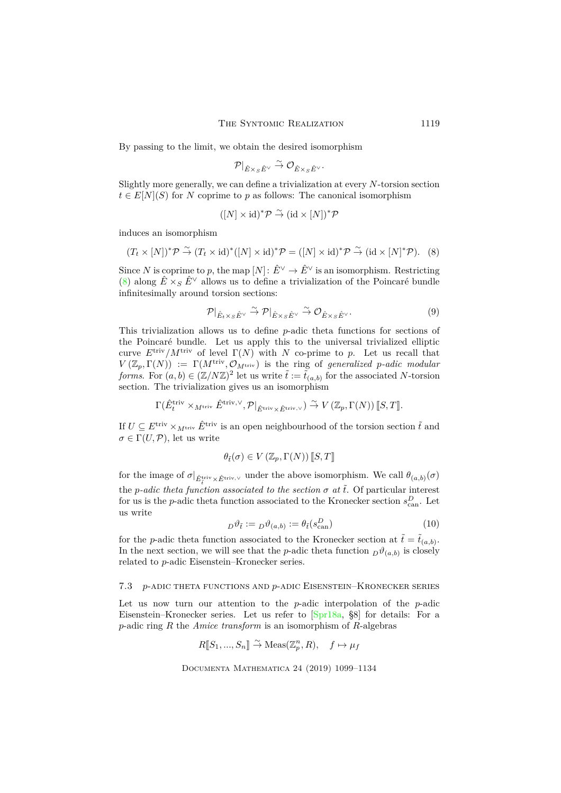By passing to the limit, we obtain the desired isomorphism

$$
\mathcal{P}|_{\hat{E}\times_S\hat{E}^\vee}\stackrel{\sim}{\to}\mathcal{O}_{\hat{E}\times_S\hat{E}^\vee}.
$$

Slightly more generally, we can define a trivialization at every *N*-torsion section  $t \in E[N](S)$  for *N* coprime to *p* as follows: The canonical isomorphism

$$
([N] \times id)^{*}\mathcal{P} \stackrel{\sim}{\to} (\mathrm{id} \times [N])^{*}\mathcal{P}
$$

induces an isomorphism

<span id="page-20-0"></span>
$$
(T_t \times [N])^* \mathcal{P} \stackrel{\sim}{\to} (T_t \times \text{id})^* ([N] \times \text{id})^* \mathcal{P} = ([N] \times \text{id})^* \mathcal{P} \stackrel{\sim}{\to} (\text{id} \times [N]^* \mathcal{P}). \tag{8}
$$

Since *N* is coprime to *p*, the map  $[N]: \hat{E}^{\vee} \to \hat{E}^{\vee}$  is an isomorphism. Restricting [\(8\)](#page-20-0) along  $\hat{E} \times_S \hat{E}^{\vee}$  allows us to define a trivialization of the Poincaré bundle infinitesimally around torsion sections:

<span id="page-20-1"></span>
$$
\mathcal{P}|_{\hat{E}_t \times_S \hat{E}^\vee} \overset{\sim}{\to} \mathcal{P}|_{\hat{E} \times_S \hat{E}^\vee} \overset{\sim}{\to} \mathcal{O}_{\hat{E} \times_S \hat{E}^\vee}.
$$
 (9)

This trivialization allows us to define *p*-adic theta functions for sections of the Poincaré bundle. Let us apply this to the universal trivialized elliptic curve  $E^{\text{triv}}/M^{\text{triv}}$  of level  $\Gamma(N)$  with *N* co-prime to *p*. Let us recall that  $V(Z_p, \Gamma(N)) := \Gamma(M^{\text{triv}}, \mathcal{O}_{M^{\text{triv}}})$  is the ring of *generalized p-adic modular forms*. For  $(a, b) \in (\mathbb{Z}/N\mathbb{Z})^2$  let us write  $\tilde{t} := \tilde{t}_{(a,b)}$  for the associated *N*-torsion section. The trivialization gives us an isomorphism

$$
\Gamma(\hat E_t^{\mathrm{triv}}\times_{M^\mathrm{triv}}\hat E^{\mathrm{triv},\vee},\mathcal P|_{\hat E^\mathrm{triv}\times \hat E^\mathrm{triv},\vee})\stackrel{\sim}{\to} V\left(\mathbb{Z}_p,\Gamma(N)\right)[\![S,T]\!].
$$

If  $U \subseteq E^{\text{triv}} \times_{M^{\text{triv}}} \hat{E}^{\text{triv}}$  is an open neighbourhood of the torsion section  $\tilde{t}$  and  $\sigma \in \Gamma(U, \mathcal{P})$ , let us write

$$
\theta_{\tilde{t}}(\sigma) \in V\left(\mathbb{Z}_p, \Gamma(N)\right)[\![S, T]\!]
$$

for the image of  $\sigma|_{\hat{E}^{\text{triv}}_t \times \hat{E}^{\text{triv},\vee}}$  under the above isomorphism. We call  $\theta_{(a,b)}(\sigma)$ the *p*-adic theta function associated to the section  $\sigma$  at  $\tilde{t}$ . Of particular interest for us is the *p*-adic theta function associated to the Kronecker section  $s_{\text{can}}^D$ . Let us write

<span id="page-20-2"></span>
$$
D^{\theta} \tilde{t} := D^{\theta}(a, b) := \theta_{\tilde{t}}(s_{\text{can}}^D)
$$
\n(10)

for the *p*-adic theta function associated to the Kronecker section at  $\tilde{t} = \tilde{t}_{(a,b)}$ . In the next section, we will see that the *p*-adic theta function  $D^{\theta}(a,b)$  is closely related to *p*-adic Eisenstein–Kronecker series.

#### 7.3 *p*-adic theta functions and *p*-adic Eisenstein–Kronecker series

Let us now turn our attention to the *p*-adic interpolation of the *p*-adic Eisenstein–Kronecker series. Let us refer to [\[Spr18a,](#page-34-3) §8] for details: For a *p*-adic ring *R* the *Amice transform* is an isomorphism of *R*-algebras

$$
R[\![S_1, ..., S_n]\!] \xrightarrow{\sim} \text{Meas}(\mathbb{Z}_p^n, R), \quad f \mapsto \mu_f
$$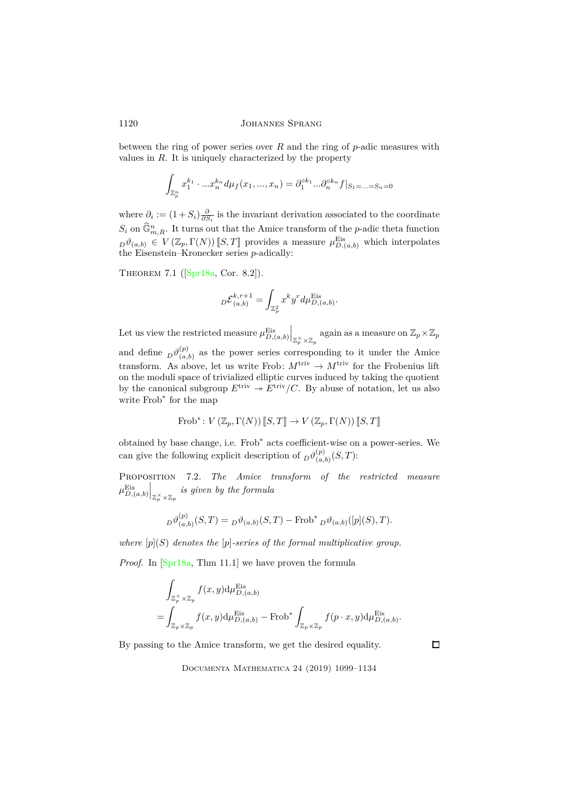between the ring of power series over *R* and the ring of *p*-adic measures with values in *R*. It is uniquely characterized by the property

$$
\int_{\mathbb{Z}_p^n} x_1^{k_1} \cdot ... x_n^{k_n} d\mu_f(x_1, ..., x_n) = \partial_1^{\circ k_1} ... \partial_n^{\circ k_n} f|_{S_1 = ... = S_n = 0}
$$

where  $\partial_i := (1 + S_i) \frac{\partial}{\partial S_i}$  is the invariant derivation associated to the coordinate  $S_i$  on  $\widehat{\mathbb{G}}_{m,R}^n$ . It turns out that the Amice transform of the *p*-adic theta function  $D^{\theta}(a,b) \in V(\mathbb{Z}_p,\Gamma(N))$  *[S, T*] provides a measure  $\mu_{D,(a,b)}^{\text{Eis}}$  which interpolates the Eisenstein–Kronecker series *p*-adically:

Theorem 7.1([\[Spr18a,](#page-34-3) Cor. 8.2]).

$$
{}_{D}\mathcal{E}_{(a,b)}^{k,r+1} = \int_{\mathbb{Z}_p^2} x^k y^r d\mu_{D,(a,b)}^{\text{Eis}}.
$$

Let us view the restricted measure  $\mu_{D,(a,b)}^{\text{Eis}}$  $\Big|_{\mathbb{Z}_p^{\times} \times \mathbb{Z}_p}$  again as a measure on  $\mathbb{Z}_p \times \mathbb{Z}_p$ and define  $_D\vartheta_{(a)}^{(p)}$  $\binom{p}{(a,b)}$  as the power series corresponding to it under the Amice transform. As above, let us write Frob:  $M^{\text{triv}} \to M^{\text{triv}}$  for the Frobenius lift on the moduli space of trivialized elliptic curves induced by taking the quotient by the canonical subgroup  $E^{\text{triv}} \twoheadrightarrow E^{\text{triv}}/C$ . By abuse of notation, let us also write Frob<sup>\*</sup> for the map

$$
\text{Frob}^*: V(\mathbb{Z}_p, \Gamma(N)) [[S, T]] \to V(\mathbb{Z}_p, \Gamma(N)) [[S, T]]
$$

obtained by base change, i.e. Frob<sup>∗</sup> acts coefficient-wise on a power-series. We can give the following explicit description of  $D^{\theta(p)}_{a}$  $\binom{(p)}{(a,b)}(S,T)$ :

<span id="page-21-0"></span>Proposition 7.2. *The Amice transform of the restricted measure*  $\mu_{D,(a,b)}^{\text{Eis}}$  $\Big|_{\mathbb{Z}_p^{\times} \times \mathbb{Z}_p}$  *is given by the formula* 

$$
{}_D\vartheta_{(a,b)}^{(p)}(S,T) = {}_D\vartheta_{(a,b)}(S,T) - \text{Frob}^* {}_D\vartheta_{(a,b)}([p](S),T).
$$

*where* [*p*](*S*) *denotes the* [*p*]*-series of the formal multiplicative group.*

*Proof.* In [\[Spr18a,](#page-34-3) Thm 11.1] we have proven the formula

$$
\int_{\mathbb{Z}_p^{\times} \times \mathbb{Z}_p} f(x, y) d\mu_{D,(a,b)}^{\text{Eis}} \n= \int_{\mathbb{Z}_p \times \mathbb{Z}_p} f(x, y) d\mu_{D,(a,b)}^{\text{Eis}} - \text{Frob}^* \int_{\mathbb{Z}_p \times \mathbb{Z}_p} f(p \cdot x, y) d\mu_{D,(a,b)}^{\text{Eis}}.
$$

By passing to the Amice transform, we get the desired equality.

 $\Box$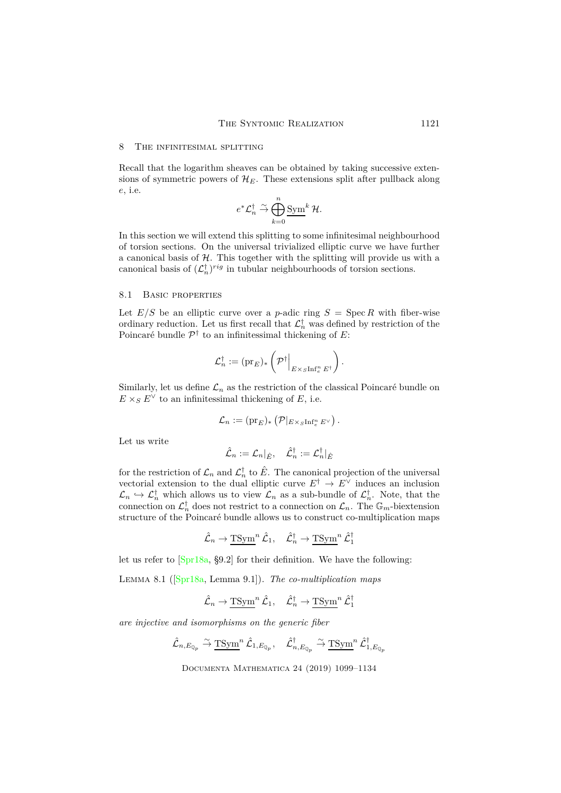#### <span id="page-22-0"></span>8 The infinitesimal splitting

Recall that the logarithm sheaves can be obtained by taking successive extensions of symmetric powers of  $\mathcal{H}_E$ . These extensions split after pullback along *e*, i.e.

$$
e^*\mathcal{L}_n^\dagger \stackrel{\sim}{\rightarrow} \bigoplus_{k=0}^n \underline{\mathrm{Sym}}^k\,\mathcal{H}.
$$

In this section we will extend this splitting to some infinitesimal neighbourhood of torsion sections. On the universal trivialized elliptic curve we have further a canonical basis of  $H$ . This together with the splitting will provide us with a canonical basis of  $(\mathcal{L}_n^{\dagger})^{rig}$  in tubular neighbourhoods of torsion sections.

# 8.1 Basic properties

Let  $E/S$  be an elliptic curve over a *p*-adic ring  $S = \text{Spec } R$  with fiber-wise ordinary reduction. Let us first recall that  $\mathcal{L}_n^{\dagger}$  was defined by restriction of the Poincaré bundle P † to an infinitessimal thickening of *E*:

$$
\mathcal{L}_n^{\dagger} := (\mathrm{pr}_E)_* \left( \mathcal{P}^{\dagger} \Big|_{E \times_S \mathrm{Inf}_e^n E^{\dagger}} \right).
$$

Similarly, let us define  $\mathcal{L}_n$  as the restriction of the classical Poincaré bundle on  $E \times_S E^{\vee}$  to an infinitessimal thickening of *E*, i.e.

$$
\mathcal{L}_n := (\mathrm{pr}_E)_*\left(\mathcal{P}|_{E\times_S\mathrm{Inf}_e^n E^\vee}\right).
$$

Let us write

$$
\hat{\mathcal{L}}_n := \mathcal{L}_n|_{\hat{E}}, \quad \hat{\mathcal{L}}_n^\dagger := \mathcal{L}_n^\dagger|_{\hat{E}}
$$

for the restriction of  $\mathcal{L}_n$  and  $\mathcal{L}_n^{\dagger}$  to  $\hat{E}$ . The canonical projection of the universal vectorial extension to the dual elliptic curve  $E^{\dagger} \rightarrow E^{\vee}$  induces an inclusion  $\mathcal{L}_n \hookrightarrow \mathcal{L}_n^{\dagger}$  which allows us to view  $\mathcal{L}_n$  as a sub-bundle of  $\mathcal{L}_n^{\dagger}$ . Note, that the connection on  $\mathcal{L}_n^{\dagger}$  does not restrict to a connection on  $\mathcal{L}_n$ . The  $\mathbb{G}_m$ -biextension structure of the Poincaré bundle allows us to construct co-multiplication maps

$$
\hat{\mathcal{L}}_n \to \underline{\text{TSym}}^n \, \hat{\mathcal{L}}_1, \quad \hat{\mathcal{L}}_n^\dagger \to \underline{\text{TSym}}^n \, \hat{\mathcal{L}}_1^\dagger
$$

let us refer to [\[Spr18a,](#page-34-3) §9.2] for their definition. We have the following:

Lemma 8.1([\[Spr18a,](#page-34-3) Lemma 9.1]). *The co-multiplication maps*

$$
\hat{\mathcal{L}}_n \to \underline{\text{TSym}}^n \, \hat{\mathcal{L}}_1, \quad \hat{\mathcal{L}}_n^{\dagger} \to \underline{\text{TSym}}^n \, \hat{\mathcal{L}}_1^{\dagger}
$$

*are injective and isomorphisms on the generic fiber*

$$
\hat{\mathcal{L}}_{n,E_{\mathbb{Q}_p}} \stackrel{\sim}{\to} \underline{\text{TSym}}^n \, \hat{\mathcal{L}}_{1,E_{\mathbb{Q}_p}}, \quad \hat{\mathcal{L}}_{n,E_{\mathbb{Q}_p}}^{\dagger} \stackrel{\sim}{\to} \underline{\text{TSym}}^n \, \hat{\mathcal{L}}_{1,E_{\mathbb{Q}_p}}^{\dagger}
$$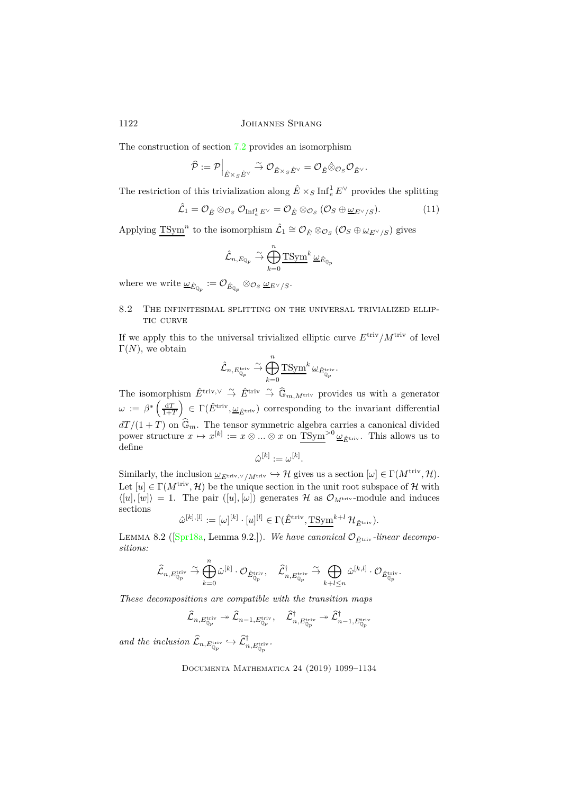The construction of section [7.2](#page-19-0) provides an isomorphism

$$
\widehat{\mathcal{P}} := \mathcal{P} \Big|_{\hat{E} \times_S \hat{E}^\vee} \xrightarrow{\sim} \mathcal{O}_{\hat{E} \times_S \hat{E}^\vee} = \mathcal{O}_{\hat{E}} \hat{\otimes}_{\mathcal{O}_S} \mathcal{O}_{\hat{E}^\vee}.
$$

The restriction of this trivialization along  $\hat{E} \times_S \text{Inf}_e^1 E^\vee$  provides the splitting

$$
\hat{\mathcal{L}}_1 = \mathcal{O}_{\hat{E}} \otimes_{\mathcal{O}_S} \mathcal{O}_{\text{Inf}_e^1 E^\vee} = \mathcal{O}_{\hat{E}} \otimes_{\mathcal{O}_S} (\mathcal{O}_S \oplus \underline{\omega}_{E^\vee/S}). \tag{11}
$$

Applying  $T\text{Sym}^n$  to the isomorphism  $\hat{\mathcal{L}}_1 \cong \mathcal{O}_{\hat{E}} \otimes_{\mathcal{O}_S} (\mathcal{O}_S \oplus \underline{\omega}_{E^{\vee}/S})$  gives

$$
\hat{\mathcal{L}}_{n,E_{\mathbb{Q}_p}} \overset{\sim}{\to} \bigoplus_{k=0}^n \underline{\text{TSym}}^k \underline{\omega}_{\hat{E}_{\mathbb{Q}_p}}
$$

 $\omega_{\hat{E}_{\mathbb{Q}_p}} := \mathcal{O}_{\hat{E}_{\mathbb{Q}_p}} \otimes_{\mathcal{O}_S} \underline{\omega}_{E^{\vee}/S}.$ 

# 8.2 The infinitesimal splitting on the universal trivialized ellip-TIC CURVE

If we apply this to the universal trivialized elliptic curve  $E^{\text{triv}}/M^{\text{triv}}$  of level  $\Gamma(N)$ , we obtain

$$
\hat{\mathcal{L}}_{n,E_{\mathbb{Q}_p}^\textup{triv}} \overset{\sim}{\to} \bigoplus_{k=0}^n \underline{\mathbf{T} \mathbf{Sym}}^k \underline{\omega}_{\hat{E}_{\mathbb{Q}_p}^\textup{triv}}.
$$

The isomorphism  $\hat{E}^{\text{triv}, \vee} \stackrel{\sim}{\to} \hat{E}^{\text{triv}} \stackrel{\sim}{\to} \hat{\mathbb{G}}_{m,M^{\text{triv}}}$  provides us with a generator  $\omega := \beta^* \left( \frac{\mathrm{d}T}{1+T} \right)$  $\left( \sum_{i=1}^{\infty} E^{\text{triv}}, \underline{\omega}_{\hat{E}^{\text{triv}}}\right)$  corresponding to the invariant differential  $dT/(1+T)$  on  $\mathbb{G}_m$ . The tensor symmetric algebra carries a canonical divided power structure  $x \mapsto x^{[k]} := x \otimes ... \otimes x$  on  $\overline{\text{TSym}}^{>0} \underline{\omega}_{\hat{E}^{\text{triv}}}$ . This allows us to define

$$
\hat{\omega}^{[k]}:=\omega^{[k]}.
$$

Similarly, the inclusion  $\underline{\omega}_{E^{\text{triv}, \vee}/M^{\text{triv}}} \hookrightarrow \mathcal{H}$  gives us a section  $[\omega] \in \Gamma(M^{\text{triv}}, \mathcal{H})$ . Let  $[u] \in \Gamma(M^{\text{triv}}, \mathcal{H})$  be the unique section in the unit root subspace of H with  $\langle [u], [w] \rangle = 1$ . The pair  $([u], [\omega])$  generates H as  $\mathcal{O}_{M^{\text{triv}}}$ -module and induces sections

$$
\hat{\omega}^{[k],[l]} := [\omega]^{[k]} \cdot [u]^{[l]} \in \Gamma(\hat{E}^{\text{triv}}, \underline{\text{TSym}}^{k+l} \mathcal{H}_{\hat{E}^{\text{triv}}}).
$$

LEMMA8.2 ( $[\text{Spr18a, Lemma 9.2.}]\right)$ . *We have canonical*  $\mathcal{O}_{\hat{E}^{\text{triv}}}$ *-linear decompositions:*

$$
\widehat{\mathcal{L}}_{n, E_{\mathbb{Q}_p}^{\text{triv}}} \overset{\sim}{\to} \bigoplus_{k=0}^n \hat{\omega}^{[k]} \cdot \mathcal{O}_{\hat{E}_{\mathbb{Q}_p}^{\text{triv}}}, \quad \widehat{\mathcal{L}}_{n, E_{\mathbb{Q}_p}^{\text{triv}}}^{\dagger} \overset{\sim}{\to} \bigoplus_{k+l \leq n} \hat{\omega}^{[k,l]} \cdot \mathcal{O}_{\hat{E}_{\mathbb{Q}_p}^{\text{triv}}}.
$$

*These decompositions are compatible with the transition maps*

$$
\widehat{\mathcal{L}}_{n,E_{\mathbb{Q}_p}^\textup{\text{triv}}} \twoheadrightarrow \widehat{\mathcal{L}}_{n-1,E_{\mathbb{Q}_p}^\textup{\text{triv}}}, \quad \widehat{\mathcal{L}}_{n,E_{\mathbb{Q}_p}^\textup{\text{triv}}}^{\dagger} \twoheadrightarrow \widehat{\mathcal{L}}_{n-1,E_{\mathbb{Q}_p}^\textup{\text{triv}}}
$$

and the inclusion  $\widehat{\mathcal{L}}_{n,E_{\mathbb{Q}_p}^{\mathrm{triv}}} \hookrightarrow \widehat{\mathcal{L}}_{n,E_{\mathbb{Q}_p}^{\mathrm{triv}}}^{\dagger}$ .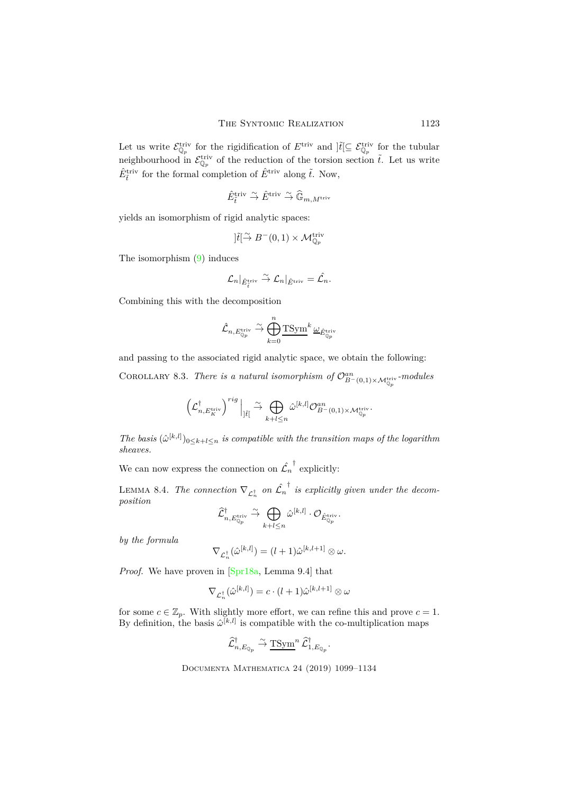Let us write  $\mathcal{E}_{\mathbb{Q}_p}^{\text{triv}}$  for the rigidification of  $E^{\text{triv}}$  and  $\left|\tilde{t}\right| \subseteq \mathcal{E}_{\mathbb{Q}_p}^{\text{triv}}$  for the tubular neighbourhood in  $\mathcal{E}_{\mathbb{Q}_p}^{\text{triv}}$  of the reduction of the torsion section  $\tilde{t}$ . Let us write  $\hat{E}_{\tilde{t}}^{\text{triv}}$  for the formal completion of  $\hat{E}^{\text{triv}}$  along  $\tilde{t}$ . Now,

$$
\hat{E}^{\mathrm{triv}}_{\tilde{t}} \overset{\sim}{\to} \hat{E}^{\mathrm{triv}} \overset{\sim}{\to} \hat{\mathbb{G}}_{m,M^{\mathrm{triv}}}
$$

yields an isomorphism of rigid analytic spaces:

$$
]\tilde{t}[\overset{\sim}{\to} B^-(0,1)\times \mathcal{M}^{\mathrm{triv}}_{\mathbb{Q}_p}
$$

The isomorphism [\(9\)](#page-20-1) induces

$$
\mathcal{L}_n|_{\hat{E}^{\mathrm{triv}}_{\tilde{t}}}\stackrel{\sim}{\to} \mathcal{L}_n|_{\hat{E}^{\mathrm{triv}}}=\hat{\mathcal{L}_n}.
$$

Combining this with the decomposition

$$
\hat{\mathcal{L}}_{n,E_{\mathbb{Q}_p}^\textup{triv}} \overset{\sim}{\to} \bigoplus_{k=0}^n \underline{\textup{TSym}}^k \underline{\omega}_{\hat{E}_{\mathbb{Q}_p}^\textup{triv}}
$$

<span id="page-24-0"></span>and passing to the associated rigid analytic space, we obtain the following:

COROLLARY 8.3. *There is a natural isomorphism of*  $\mathcal{O}_{B^-(0,1)\times \mathcal{M}_{\mathbb{Q}_p}^{\text{triv}}}^{\text{an}}$ -modules

$$
\left(\mathcal{L}_{n,E_K^{\mathrm{triv}}}^{\dagger}\right)^{rig}\Big|_{]\tilde{t}[}\overset{\sim}{\to} \bigoplus_{k+l\leq n} \hat{\omega}^{[k,l]}\mathcal{O}_{B^-(0,1)\times \mathcal{M}_{\mathbb{Q}_p}^{\mathrm{triv}}}^{\mathrm{an}}.
$$

*The basis*  $(\hat{\omega}^{[k,l]})_{0 \leq k+l \leq n}$  *is compatible with the transition maps of the logarithm sheaves.*

We can now express the connection on  $\mathcal{L}_n$ † explicitly:

LEMMA 8.4. *The connection*  $\nabla_{\mathcal{L}_n^{\dagger}}$  on  $\hat{\mathcal{L}}_n$ † *is explicitly given under the decomposition*

$$
\widehat{\mathcal{L}}_{n,E_{\mathbb{Q}_p}^\mathrm{triv}}^\dagger\stackrel{\sim}{\to} \bigoplus_{k+l\leq n} \hat{\omega}^{[k,l]}\cdot \mathcal{O}_{\hat{E}_{\mathbb{Q}_p}^\mathrm{triv}}.
$$

*by the formula*

$$
\nabla_{\mathcal{L}_n^{\dagger}}(\hat{\omega}^{[k,l]}) = (l+1)\hat{\omega}^{[k,l+1]} \otimes \omega.
$$

*Proof.* We have proven in [\[Spr18a,](#page-34-3) Lemma 9.4] that

$$
\nabla_{\mathcal{L}_n^{\dagger}}(\hat{\omega}^{[k,l]}) = c \cdot (l+1) \hat{\omega}^{[k,l+1]} \otimes \omega
$$

for some  $c \in \mathbb{Z}_p$ . With slightly more effort, we can refine this and prove  $c = 1$ . By definition, the basis  $\hat{\omega}^{[k,l]}$  is compatible with the co-multiplication maps

$$
\widehat{\mathcal{L}}_{n,E_{\mathbb{Q}_p}}^{\dagger} \overset{\sim}{\rightarrow} \underline{\text{TSym}}^n \widehat{\mathcal{L}}_{1,E_{\mathbb{Q}_p}}^{\dagger}.
$$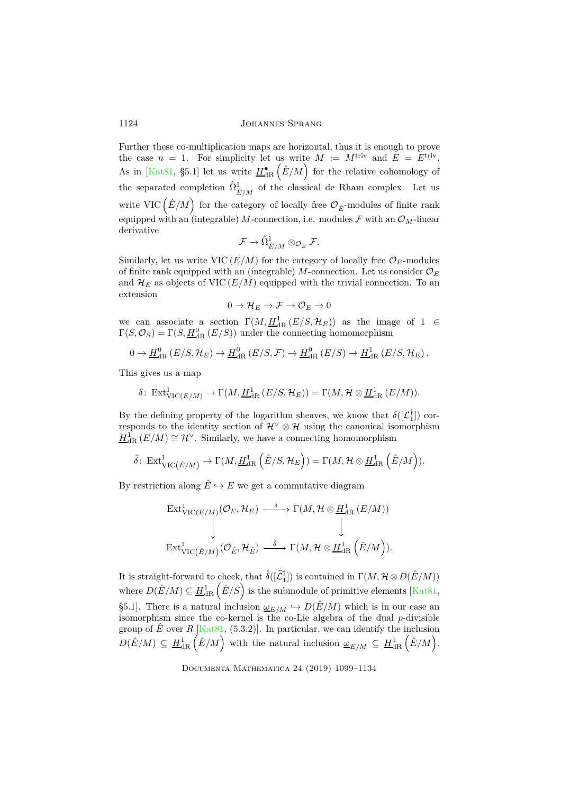Further these co-multiplication maps are horizontal, thus it is enough to prove the case  $n = 1$ . For simplicity let us write  $M := M^{\text{triv}}$  and  $E = E^{\text{triv}}$ . As in [\[Kat81,](#page-34-12) §5.1] let us write  $H_{\text{dR}}^{\bullet}(\hat{E}/M)$  for the relative cohomology of the separated completion  $\hat{\Omega}^1_{\hat{E}/M}$  of the classical de Rham complex. Let us write VIC  $(\hat{E}/M)$  for the category of locally free  $\mathcal{O}_{\hat{E}}$ -modules of finite rank equipped with an (integrable) *M*-connection, i.e. modules  $\mathcal F$  with an  $\mathcal O_M$ -linear derivative

$$
\mathcal{F} \to \hat{\Omega}^1_{\hat{E}/M} \otimes_{\mathcal{O}_{\hat{E}}} \mathcal{F}.
$$

Similarly, let us write VIC  $(E/M)$  for the category of locally free  $\mathcal{O}_E$ -modules of finite rank equipped with an (integrable)  $M$ -connection. Let us consider  $\mathcal{O}_E$ and  $\mathcal{H}_E$  as objects of VIC  $(E/M)$  equipped with the trivial connection. To an extension

$$
0\to\mathcal{H}_E\to\mathcal{F}\to\mathcal{O}_E\to 0
$$

we can associate a section  $\Gamma(M, H^1_{\text{dR}}(E/S, H_E))$  as the image of  $1 \in$  $\Gamma(S, \mathcal{O}_S) = \Gamma(S, \underline{H}_{\text{dR}}^0(E/S))$  under the connecting homomorphism

$$
0 \to \underline{H}_{\mathrm{dR}}^0(E/S, \mathcal{H}_E) \to \underline{H}_{\mathrm{dR}}^0(E/S, \mathcal{F}) \to \underline{H}_{\mathrm{dR}}^0(E/S) \to \underline{H}_{\mathrm{dR}}^1(E/S, \mathcal{H}_E).
$$

This gives us a map

$$
\delta\colon \operatorname{Ext}^1_{\operatorname{VIC}(E/M)} \to \Gamma(M, \underline{H}^1_{\operatorname{dR}}(E/S, \mathcal{H}_E)) = \Gamma(M, \mathcal{H} \otimes \underline{H}^1_{\operatorname{dR}}(E/M)).
$$

By the defining property of the logarithm sheaves, we know that  $\delta([\mathcal{L}_1^{\dagger}])$  corresponds to the identity section of  $\mathcal{H}^{\vee} \otimes \mathcal{H}$  using the canonical isomorphism  $H^1_{\text{dR}}(E/M) \cong \mathcal{H}^{\vee}$ . Similarly, we have a connecting homomorphism

$$
\hat{\delta}\colon \operatorname{Ext}^1_{\operatorname{VIC}(\hat{E}/M)} \to \Gamma(M,\underline{H}^1_{\operatorname{dR}}\left(\hat{E}/S,\mathcal{H}_E\right)) = \Gamma(M,\mathcal{H} \otimes \underline{H}^1_{\operatorname{dR}}\left(\hat{E}/M\right)).
$$

By restriction along  $\hat{E} \hookrightarrow E$  we get a commutative diagram

$$
\begin{array}{ccc}\n\operatorname{Ext}^1_{\mathrm{VIC}(E/M)}(\mathcal{O}_E, \mathcal{H}_E) & \xrightarrow{\delta} \Gamma(M, \mathcal{H} \otimes \underline{H}^1_{\mathrm{dR}}(E/M)) \\
\downarrow & & \downarrow \n\end{array}
$$
\n
$$
\operatorname{Ext}^1_{\mathrm{VIC}(\hat{E}/M)}(\mathcal{O}_{\hat{E}}, \mathcal{H}_{\hat{E}}) \xrightarrow{\delta} \Gamma(M, \mathcal{H} \otimes \underline{H}^1_{\mathrm{dR}}(\hat{E}/M)).
$$

It is straight-forward to check, that  $\hat{\delta}([\hat{\mathcal{L}}_1^{\dagger}])$  is contained in  $\Gamma(M, \mathcal{H} \otimes D(\hat{E}/M))$ where  $D(\hat{E}/M) \subseteq \underline{H}_{\text{dR}}^1(\hat{E}/S)$  is the submodule of primitive elements [\[Kat81,](#page-34-12) §5.1]. There is a natural inclusion  $\underline{\omega}_{E/M} \hookrightarrow D(\hat{E}/M)$  which is in our case an isomorphism since the co-kernel is the co-Lie algebra of the dual *p*-divisible group of  $\hat{E}$  over  $R$  [\[Kat81,](#page-34-12) (5.3.2)]. In particular, we can identify the inclusion  $D(\hat{E}/M) \subseteq H_{\text{dR}}^1(\hat{E}/M)$  with the natural inclusion  $\omega_{E/M} \subseteq H_{\text{dR}}^1(\hat{E}/M)$ .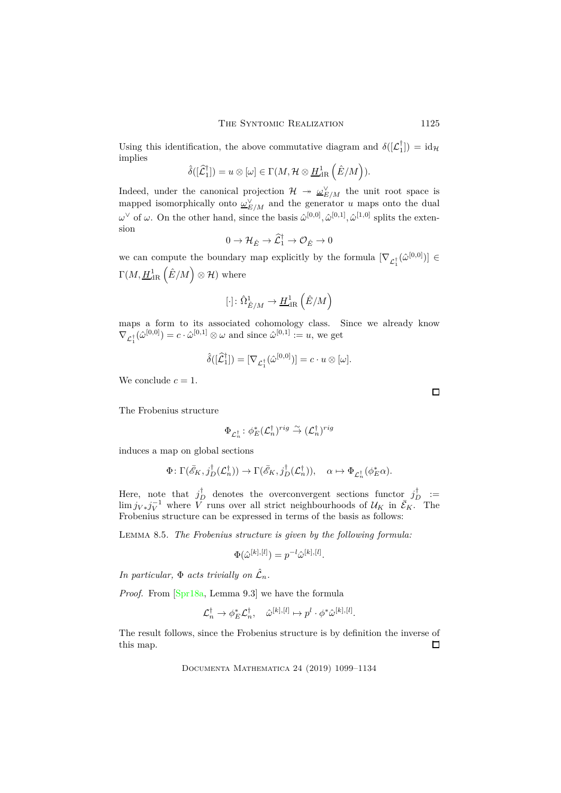Using this identification, the above commutative diagram and  $\delta([\mathcal{L}_1^{\dagger}]) = id_{\mathcal{H}}$ implies

$$
\hat{\delta}([\hat{\mathcal{L}}_1^{\dagger}]) = u \otimes [\omega] \in \Gamma(M, \mathcal{H} \otimes \underline{H}_{\mathrm{dR}}^1(\hat{E}/M)).
$$

Indeed, under the canonical projection  $\mathcal{H} \to \underline{\omega}_{E/M}^{\vee}$  the unit root space is mapped isomorphically onto  $\underline{\omega}_{E/M}^{\vee}$  and the generator *u* maps onto the dual  $\omega^{\vee}$  of  $\omega$ . On the other hand, since the basis  $\hat{\omega}^{[0,0]}, \hat{\omega}^{[0,1]}, \hat{\omega}^{[1,0]}$  splits the extension

$$
0 \to \mathcal{H}_{\hat{E}} \to \widehat{\mathcal{L}}_1^{\dagger} \to \mathcal{O}_{\hat{E}} \to 0
$$

we can compute the boundary map explicitly by the formula  $[\nabla_{\mathcal{L}_1^{\dagger}}(\hat{\omega}^{[0,0]})] \in$  $\Gamma(M, \underline{H}_{\mathrm{dR}}^1(\hat{E}/M) \otimes \mathcal{H})$  where

$$
[\cdot ]\colon \hat{\Omega}_{\hat{E}/M}^1\to \underline{H}^1_{\mathrm{dR}}\left(\hat{E}/M\right)
$$

maps a form to its associated cohomology class. Since we already know  $\nabla_{\mathcal{L}_1^{\dagger}}(\hat{\omega}^{[0,0]}) = c \cdot \hat{\omega}^{[0,1]} \otimes \omega$  and since  $\hat{\omega}^{[0,1]} := u$ , we get

$$
\hat{\delta}([\widehat{\mathcal{L}}_1^{\dagger}]) = [\nabla_{\mathcal{L}_1^{\dagger}}(\hat{\omega}^{[0,0]})] = c \cdot u \otimes [\omega].
$$

We conclude  $c = 1$ .

The Frobenius structure

$$
\Phi_{\mathcal{L}_n^\dagger} \colon \phi_E^*(\mathcal{L}_n^\dagger)^{rig} \stackrel{\sim}{\to} (\mathcal{L}_n^\dagger)^{rig}
$$

induces a map on global sections

$$
\Phi\colon \Gamma(\bar{\mathscr{E}}_K, j_D^{\dagger}(\mathcal{L}_n^{\dagger})) \to \Gamma(\bar{\mathscr{E}}_K, j_D^{\dagger}(\mathcal{L}_n^{\dagger})), \quad \alpha \mapsto \Phi_{\mathcal{L}_n^{\dagger}}(\phi_E^* \alpha).
$$

Here, note that  $j_D^{\dagger}$  denotes the overconvergent sections functor  $j_D^{\dagger}$  :=  $\lim j_{V*}j_V^{-1}$  where *V* runs over all strict neighbourhoods of  $U_K$  in  $\bar{\mathcal{E}}_K$ . The Frobenius structure can be expressed in terms of the basis as follows:

<span id="page-26-0"></span>Lemma 8.5. *The Frobenius structure is given by the following formula:*

$$
\Phi(\hat{\omega}^{[k],[l]}) = p^{-l}\hat{\omega}^{[k],[l]}.
$$

*In particular,*  $\Phi$  *acts trivially on*  $\hat{\mathcal{L}}_n$ *.* 

*Proof.* From [\[Spr18a,](#page-34-3) Lemma 9.3] we have the formula

$$
\mathcal{L}_n^{\dagger} \rightarrow \phi_E^* \mathcal{L}_n^{\dagger}, \quad \hat{\omega}^{[k], [l]} \mapsto p^l \cdot \phi^* \hat{\omega}^{[k], [l]}.
$$

The result follows, since the Frobenius structure is by definition the inverse of this map.  $\Box$ 

Documenta Mathematica 24 (2019) 1099–1134

 $\Box$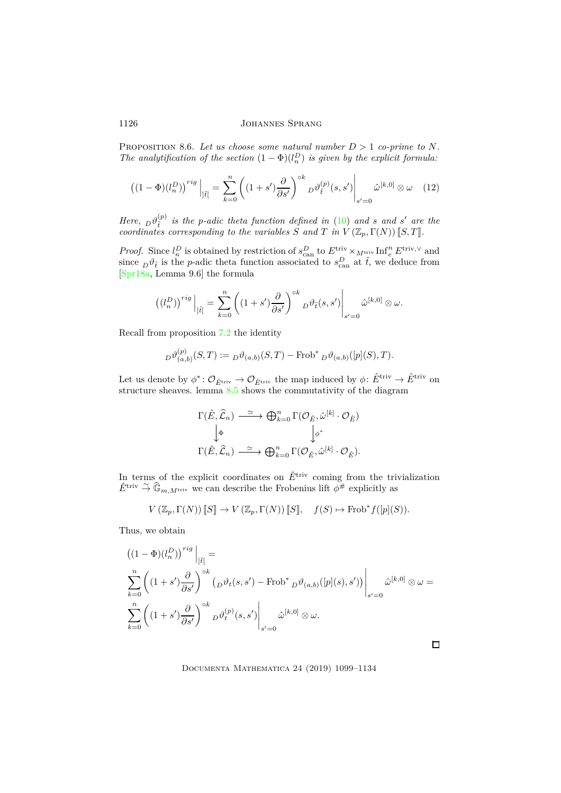PROPOSITION 8.6. Let us choose some natural number  $D > 1$  co-prime to N. *The analytification of the section*  $(1 - \Phi)(l_n^D)$  *is given by the explicit formula:* 

$$
((1-\Phi)(l_n^D))^{rig}\Big|_{j\tilde{t}|} = \sum_{k=0}^n \left( (1+s')\frac{\partial}{\partial s'}\right)^{\circ k} D^{\vartheta}(\tilde{t}) (s,s')\Big|_{s'=0} \hat{\omega}^{[k,0]} \otimes \omega \quad (12)
$$

*Here,*  $D^{\theta}$ <sup>(*p*)</sup> *is the p*-adic theta function defined in [\(10\)](#page-20-2) and *s* and *s'* are the *coordinates corresponding to the variables S* and *T* in  $V(\mathbb{Z}_p, \Gamma(N))$  [*S, T*].

*Proof.* Since  $l_n^D$  is obtained by restriction of  $s_{\text{can}}^D$  to  $E^{\text{triv}} \times_M \text{triv Int}_e^n E^{\text{triv},\vee}$  and since  $D^{\theta}$ *t* is the *p*-adic theta function associated to  $s_{\text{can}}^D$  at  $\tilde{t}$ , we deduce from [\[Spr18a,](#page-34-3) Lemma 9.6] the formula

$$
\left((l^D_n)\right)^{rig}\Big|_{]\tilde t[}=\sum_{k=0}^n\left((1+s')\frac{\partial}{\partial s'}\right)^{\diamond k}{}_D\vartheta_{\tilde t}(s,s')\Bigg|_{s'=0}\hat\omega^{[k,0]}\otimes\omega.
$$

Recall from proposition [7.2](#page-21-0) the identity

$$
D^{\vartheta_{(a,b)}^{(p)}}(S,T) := D^{\vartheta_{(a,b)}^{(p)}}(S,T) - \text{Frob}^* D^{\vartheta_{(a,b)}^{(p)}}([p](S),T).
$$

Let us denote by  $\phi^* : \mathcal{O}_{\hat{E}^{\text{triv}}} \to \mathcal{O}_{\hat{E}^{\text{triv}}}$  the map induced by  $\phi : \hat{E}^{\text{triv}} \to \hat{E}^{\text{triv}}$  on structure sheaves. lemma [8.5](#page-26-0) shows the commutativity of the diagram

$$
\Gamma(\hat{E}, \hat{\mathcal{L}}_n) \xrightarrow{\simeq} \bigoplus_{k=0}^n \Gamma(\mathcal{O}_{\hat{E}}, \hat{\omega}^{[k]} \cdot \mathcal{O}_{\hat{E}})
$$

$$
\downarrow^{\Phi} \qquad \qquad \downarrow^{\phi^*}
$$

$$
\Gamma(\hat{E}, \hat{\mathcal{L}}_n) \xrightarrow{\simeq} \bigoplus_{k=0}^n \Gamma(\mathcal{O}_{\hat{E}}, \hat{\omega}^{[k]} \cdot \mathcal{O}_{\hat{E}}).
$$

In terms of the explicit coordinates on  $\hat{E}^{\text{triv}}$  coming from the trivialization  $\hat{E}^{\text{triv}} \overset{\sim}{\to} \widehat{\mathbb{G}}_{m,M^{\text{triv}}}$  we can describe the Frobenius lift  $\phi^{\#}$  explicitly as

$$
V(\mathbb{Z}_p, \Gamma(N))[[S]] \to V(\mathbb{Z}_p, \Gamma(N))[[S]], \quad f(S) \mapsto \text{Frob}^* f([p](S)).
$$

Thus, we obtain

$$
\left((1 - \Phi)(l_n^D)\right)^{rig}\Big|_{\substack{\tilde{f} \in \tilde{I} \\ k=0}} = \sum_{k=0}^n \left((1 + s')\frac{\partial}{\partial s'}\right)^{\circ k} \left(\frac{\partial^k}{\partial s'}(s, s') - \text{Frob}^* \frac{\partial^k}{\partial s'}(p](s), s')\right)\Big|_{s'=0} \hat{\omega}^{[k,0]} \otimes \omega = \sum_{k=0}^n \left((1 + s')\frac{\partial}{\partial s'}\right)^{\circ k} \frac{\partial^k}{\partial s'}(s, s')\Big|_{s'=0} \hat{\omega}^{[k,0]} \otimes \omega.
$$

 $\Box$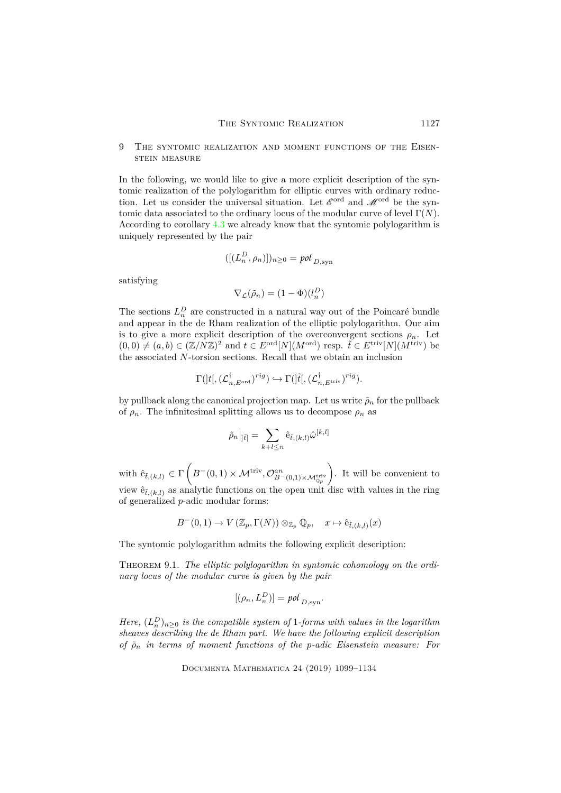### 9 The syntomic realization and moment functions of the Eisenstein measure

In the following, we would like to give a more explicit description of the syntomic realization of the polylogarithm for elliptic curves with ordinary reduction. Let us consider the universal situation. Let  $\mathscr{E}^{\text{ord}}$  and  $\mathscr{M}^{\text{ord}}$  be the syntomic data associated to the ordinary locus of the modular curve of level Γ(*N*). According to corollary [4.3](#page-13-2) we already know that the syntomic polylogarithm is uniquely represented by the pair

$$
([(L_n^D, \rho_n)])_{n \ge 0} = pol_{D, \text{syn}}
$$

satisfying

$$
\nabla_{\mathcal{L}}(\tilde{\rho}_n) = (1 - \Phi)(l_n^D)
$$

The sections  $L_n^D$  are constructed in a natural way out of the Poincaré bundle and appear in the de Rham realization of the elliptic polylogarithm. Our aim is to give a more explicit description of the overconvergent sections  $\rho_n$ . Let  $(0,0) \neq (a,b) \in (\mathbb{Z}/N\mathbb{Z})^2$  and  $t \in E^{ord}[N](M^{ord})$  resp.  $\tilde{t} \in E^{triv}[N](M^{triv})$  be the associated *N*-torsion sections. Recall that we obtain an inclusion

$$
\Gamma(]t[,(\mathcal{L}_{n,E^{\text{ord}}}^{\dagger})^{rig})\hookrightarrow \Gamma(]\tilde{t}[,(\mathcal{L}_{n,E^{\text{triv}}}^{\dagger})^{rig}).
$$

by pullback along the canonical projection map. Let us write  $\rho_n$  for the pullback of  $\rho_n$ . The infinitesimal splitting allows us to decompose  $\rho_n$  as

$$
\tilde{\rho}_n|_{]\tilde{t}[}=\sum_{k+l\leq n}\hat{\mathrm{e}}_{\tilde{t},(k,l)}\hat{\omega}^{[k,l]}
$$

with  $\hat{e}_{\tilde{t},(k,l)} \in \Gamma$  $\left(B^{-}(0,1)\times\mathcal{M}^{\mathrm{triv}}, \mathcal{O}_{B^{-}(0,1)\times\mathcal{M}_{\mathbb{Q}_p}^{\mathrm{triv}}}\right)$  $\setminus$ . It will be convenient to view  $\hat{e}_{\tilde{t}, (k,l)}$  as analytic functions on the open unit disc with values in the ring of generalized *p*-adic modular forms:

$$
B^-(0,1) \to V(\mathbb{Z}_p,\Gamma(N)) \otimes_{\mathbb{Z}_p} \mathbb{Q}_p, \quad x \mapsto \hat{e}_{\tilde{t},(k,l)}(x)
$$

<span id="page-28-0"></span>The syntomic polylogarithm admits the following explicit description:

Theorem 9.1. *The elliptic polylogarithm in syntomic cohomology on the ordinary locus of the modular curve is given by the pair*

$$
[(\rho_n, L_n^D)] = \text{pol}_{D,\text{syn}}.
$$

*Here,*  $(L_n^D)_{n \geq 0}$  *is the compatible system of* 1*-forms with values in the logarithm sheaves describing the de Rham part. We have the following explicit description of ρ*˜*<sup>n</sup> in terms of moment functions of the p-adic Eisenstein measure: For*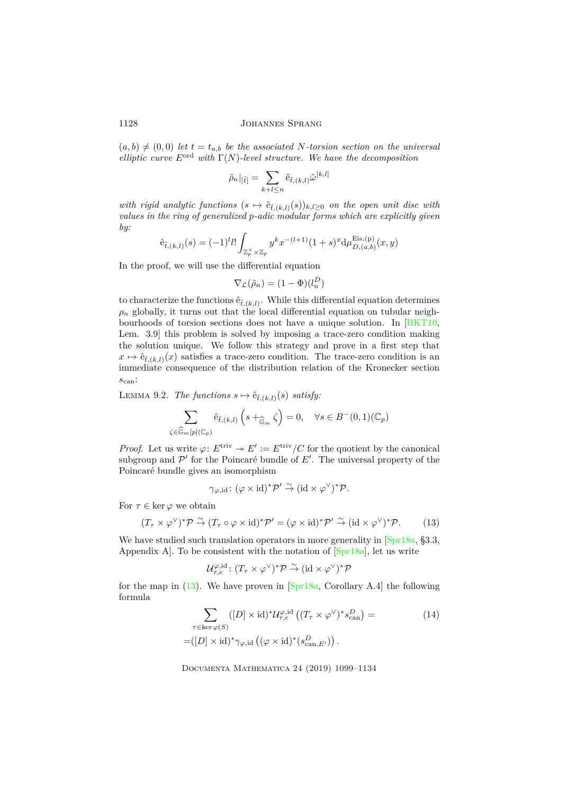$(a, b) \neq (0, 0)$  *let*  $t = t_{a,b}$  *be the associated N-torsion section on the universal elliptic curve E*ord *with* Γ(*N*)*-level structure. We have the decomposition*

$$
\tilde{\rho}_n|_{]\tilde{t}[}=\sum_{k+l\leq n}\hat{\mathrm{e}}_{\tilde{t},(k,l)}\hat{\omega}^{[k,l]}
$$

*with rigid analytic functions*  $(s \mapsto \hat{e}_{\tilde{t},(k,l)}(s))_{k,l\geq 0}$  *on the open unit disc with values in the ring of generalized p-adic modular forms which are explicitly given by:*

$$
\hat{e}_{\tilde{t},(k,l)}(s) = (-1)^l l! \int_{\mathbb{Z}_p^{\times} \times \mathbb{Z}_p} y^k x^{-(l+1)} (1+s)^x d\mu_{D,(a,b)}^{\text{Eis},(p)}(x,y)
$$

In the proof, we will use the differential equation

$$
\nabla_{\mathcal{L}}(\tilde{\rho}_n) = (1 - \Phi)(l_n^D)
$$

to characterize the functions  $\hat{\mathbf{e}}_{\tilde{t},(k,l)}$ . While this differential equation determines  $\rho_n$  globally, it turns out that the local differential equation on tubular neighbourhoods of torsion sections does not have a unique solution. In [\[BKT10,](#page-33-4) Lem. 3.9] this problem is solved by imposing a trace-zero condition making the solution unique. We follow this strategy and prove in a first step that  $x \mapsto \hat{e}_{\tilde{t},(k,l)}(x)$  satisfies a trace-zero condition. The trace-zero condition is an immediate consequence of the distribution relation of the Kronecker section *s*can:

<span id="page-29-2"></span>LEMMA 9.2. *The functions*  $s \mapsto \hat{e}_{\tilde{t},(k,l)}(s)$  *satisfy:* 

$$
\sum_{\zeta \in \widehat{\mathbb{G}}_m[p](\mathbb{C}_p)} \widehat{\mathbf{e}}_{\tilde{t},(k,l)} \left( s +_{\widehat{\mathbb{G}}_m} \zeta \right) = 0, \quad \forall s \in B^-(0,1)(\mathbb{C}_p)
$$

*Proof.* Let us write  $\varphi: E^{\text{triv}} \to E' := E^{\text{triv}} / C$  for the quotient by the canonical subgroup and  $\mathcal{P}'$  for the Poincaré bundle of  $E'$ . The universal property of the Poincaré bundle gives an isomorphism

$$
\gamma_{\varphi, id} \colon (\varphi \times id)^* \mathcal{P}' \overset{\sim}{\to} (id \times \varphi^{\vee})^* \mathcal{P}.
$$

For  $\tau \in \ker \varphi$  we obtain

<span id="page-29-0"></span>
$$
(T_{\tau} \times \varphi^{\vee})^* \mathcal{P} \stackrel{\sim}{\to} (T_{\tau} \circ \varphi \times id)^* \mathcal{P}' = (\varphi \times id)^* \mathcal{P}' \stackrel{\sim}{\to} (id \times \varphi^{\vee})^* \mathcal{P}.
$$
 (13)

We have studied such translation operators in more generality in [\[Spr18a,](#page-34-3) §3.3, Appendix A]. To be consistent with the notation of [\[Spr18a\]](#page-34-3), let us write

<span id="page-29-1"></span>
$$
\mathcal{U}_{\tau,e}^{\varphi,\mathrm{id}}\colon (T_\tau\times\varphi^\vee)^*\mathcal{P}\stackrel{\sim}{\to} (\mathrm{id}\times\varphi^\vee)^*\mathcal{P}
$$

for the map in  $(13)$ . We have proven in  $\sqrt{\text{Spr18a}}$ , Corollary A.4 the following formula

$$
\sum_{\tau \in \ker \varphi(S)} ([D] \times \mathrm{id})^* \mathcal{U}_{\tau,e}^{\varphi, \mathrm{id}} ((T_\tau \times \varphi^\vee)^* s_{\mathrm{can}}^D) =
$$
\n
$$
= ([D] \times \mathrm{id})^* \gamma_{\varphi, \mathrm{id}} ((\varphi \times \mathrm{id})^* (s_{\mathrm{can}, E'}^D)).
$$
\n(14)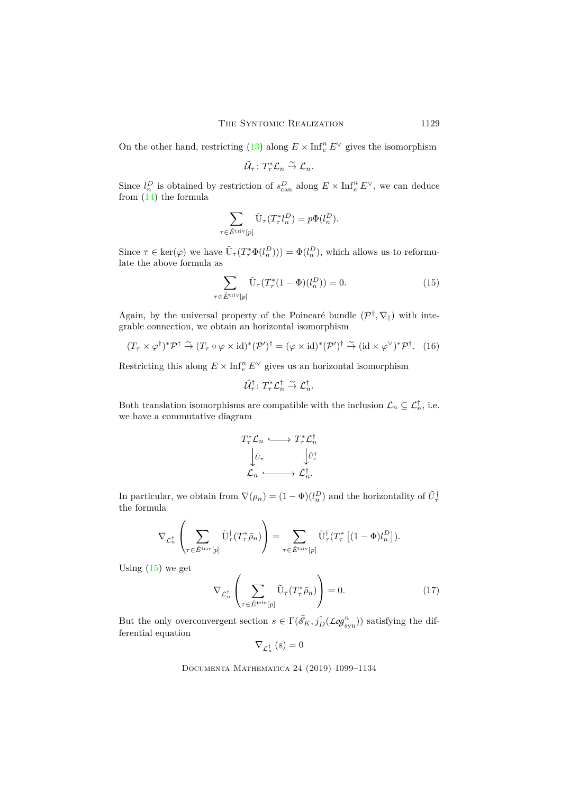On the other hand, restricting [\(13\)](#page-29-0) along  $E \times \text{Inf}_{e}^{n} E^{\vee}$  gives the isomorphism

$$
\tilde{\mathcal{U}}_\tau\colon T_\tau^*\mathcal{L}_n \stackrel{\sim}{\to} \mathcal{L}_n.
$$

Since  $l_n^D$  is obtained by restriction of  $s_{\text{can}}^D$  along  $E \times \text{Inf}_e^n E^\vee$ , we can deduce from [\(14\)](#page-29-1) the formula

$$
\sum_{\tau \in \hat{E}^{\text{triv}}[p]} \tilde{\mathbf{U}}_{\tau}(T_{\tau}^* l_n^D) = p\Phi(l_n^D).
$$

Since  $\tau \in \text{ker}(\varphi)$  we have  $\tilde{\mathbf{U}}_{\tau}(T^*_{\tau}\Phi(l_n^D)) = \Phi(l_n^D)$ , which allows us to reformulate the above formula as

<span id="page-30-0"></span>
$$
\sum_{\tau \in \hat{E}^{\text{triv}}[p]} \tilde{\mathbf{U}}_{\tau} (T_{\tau}^*(1 - \Phi)(l_n^D)) = 0.
$$
 (15)

Again, by the universal property of the Poincaré bundle  $(\mathcal{P}^{\dagger}, \nabla_{\dagger})$  with integrable connection, we obtain an horizontal isomorphism

$$
(T_{\tau} \times \varphi^{\dagger})^* \mathcal{P}^{\dagger} \stackrel{\sim}{\to} (T_{\tau} \circ \varphi \times \mathrm{id})^* (\mathcal{P}')^{\dagger} = (\varphi \times \mathrm{id})^* (\mathcal{P}')^{\dagger} \stackrel{\sim}{\to} (\mathrm{id} \times \varphi^{\vee})^* \mathcal{P}^{\dagger}.
$$
 (16)

Restricting this along  $E\times\mathrm{Inf}_e^n\,E^\vee$  gives us an horizontal isomorphism

$$
\tilde{\mathcal{U}}_\tau^\dagger\colon T_\tau^*\mathcal{L}_n^\dagger \stackrel{\sim}{\to} \mathcal{L}_n^\dagger.
$$

Both translation isomorphisms are compatible with the inclusion  $\mathcal{L}_n \subseteq \mathcal{L}_n^{\dagger}$ , i.e. we have a commutative diagram

$$
T^*_{\tau}\mathcal{L}_n \longleftrightarrow T^*_{\tau}\mathcal{L}_n^{\dagger}
$$

$$
\downarrow \tilde{\iota}_{\tau}
$$

$$
\mathcal{L}_n \longleftrightarrow \mathcal{L}_n^{\dagger}.
$$

In particular, we obtain from  $\nabla(\rho_n) = (1 - \Phi)(l_n^D)$  and the horizontality of  $\tilde{U}_{\tau}^{\dagger}$ the formula

$$
\nabla_{\mathcal{L}_n^{\dagger}}\left(\sum_{\tau \in \hat{E}^{\text{triv}}[p]} \tilde{\mathbf{U}}_{\tau}^{\dagger}(T_{\tau}^* \tilde{\rho}_n)\right) = \sum_{\tau \in \hat{E}^{\text{triv}}[p]} \tilde{\mathbf{U}}_{\tau}^{\dagger}(T_{\tau}^* \left[(1-\Phi)l_n^D\right]).
$$

Using  $(15)$  we get

$$
\nabla_{\mathcal{L}_n^{\dagger}} \left( \sum_{\tau \in \hat{E}^{\text{triv}}[p]} \tilde{\mathbf{U}}_{\tau} (T_{\tau}^* \tilde{\rho}_n) \right) = 0. \tag{17}
$$

But the only overconvergent section  $s \in \Gamma(\bar{e}_K, j_D^{\dagger}(\text{Log}_{syn}^n))$  satisfying the differential equation

$$
\nabla_{\mathcal{L}_n^{\dagger}}\left(s\right) = 0
$$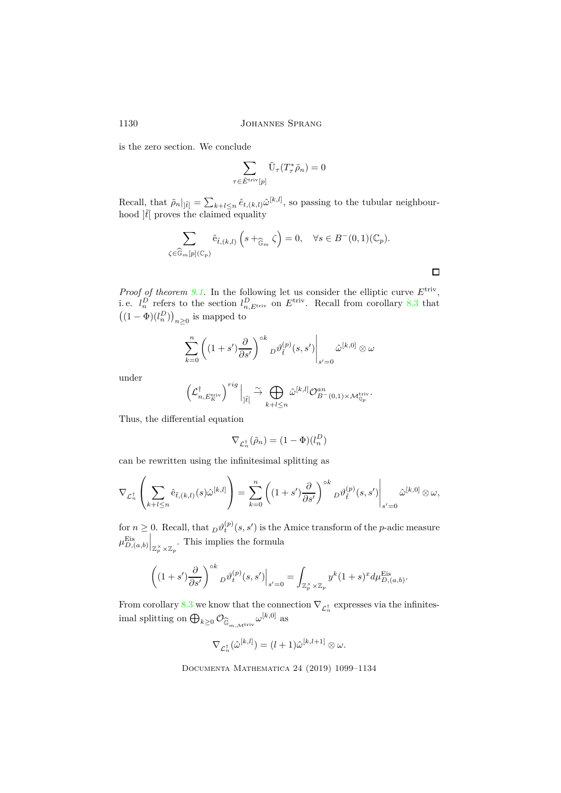is the zero section. We conclude

$$
\sum_{\tau \in \hat{E}^{\mathrm{triv}}[p]} \tilde{\mathrm{U}}_\tau(T_\tau^* \tilde{\rho}_n) = 0
$$

Recall, that  $\tilde{\rho}_n|_{\vert \tilde{t} \vert} = \sum_{k+l \leq n} \hat{e}_{t,(k,l)} \hat{\omega}^{[k,l]},$  so passing to the tubular neighbourhood  $|\tilde{t}|$  proves the claimed equality

$$
\sum_{\zeta \in \widehat{\mathbb{G}}_m[p](\mathbb{C}_p)} \hat{e}_{\tilde{t},(k,l)} \left(s +_{\widehat{\mathbb{G}}_m} \zeta\right) = 0, \quad \forall s \in B^-(0,1)(\mathbb{C}_p).
$$

*Proof of theorem [9.1.](#page-28-0)* In the following let us consider the elliptic curve *E*triv , i.e.  $l_n^D$  refers to the section  $l_{n,E^{\text{triv}}}^D$  on  $E^{\text{triv}}$ . Recall from corollary [8.3](#page-24-0) that  $\left((1-\Phi)(l^D_n)\right)_{n\geq 0}$  is mapped to

$$
\sum_{k=0}^{n} \left( (1+s') \frac{\partial}{\partial s'} \right)^{\circ k} D \vartheta_{\tilde{t}}^{(p)}(s, s') \Big|_{s'=0} \hat{\omega}^{[k,0]} \otimes \omega
$$

under

$$
\left(\mathcal{L}_{n,E_K^{\mathrm{triv}}}^{\dagger}\right)^{rig}\Big|_{]\tilde{t}[}\overset{\sim}{\to} \bigoplus_{k+l\leq n} \hat{\omega}^{[k,l]}\mathcal{O}_{B^-(0,1)\times \mathcal{M}_{\mathbb{Q}_p}^{\mathrm{triv}}}^{\mathrm{an}}.
$$

Thus, the differential equation

$$
\nabla_{\mathcal{L}_n^{\dagger}}(\tilde{\rho}_n) = (1 - \Phi)(l_n^D)
$$

can be rewritten using the infinitesimal splitting as

$$
\nabla_{\mathcal{L}_n^{\dagger}}\left(\sum_{k+l\leq n}\hat{\mathrm{e}}_{\tilde{t},(k,l)}(s)\hat{\omega}^{[k,l]}\right)=\sum_{k=0}^n\left((1+s')\frac{\partial}{\partial s'}\right)^{\circ k}{}_D\vartheta_{\tilde{t}}^{(p)}(s,s')\Bigg|_{s'=0}\hat{\omega}^{[k,0]}\otimes\omega,
$$

for  $n \geq 0$ . Recall, that  $D\vartheta_t^{(p)}(s, s')$  is the Amice transform of the *p*-adic measure  $\mu_{D,(a,b)}^{\text{Eis}}$  $\Big|_{\mathbb{Z}_p^{\times} \times \mathbb{Z}_p}$ . This implies the formula

$$
\left( (1+s') \frac{\partial}{\partial s'} \right)^{\circ k} D \vartheta_t^{(p)}(s,s') \Big|_{s'=0} = \int_{\mathbb{Z}_p^{\times} \times \mathbb{Z}_p} y^k (1+s)^x d\mu_{D,(a,b)}^{\text{Eis}}.
$$

From corollary [8.3](#page-24-0) we know that the connection  $\nabla_{\mathcal{L}_n^{\dagger}}$  expresses via the infinitesimal splitting on  $\bigoplus_{k\geq 0}\mathcal{O}_{\widehat{\mathbb{G}}_{m,\mathcal{M}^{\text{triv}}}}\omega^{[k,0]}$  as

$$
\nabla_{\mathcal{L}_n^{\dagger}}(\hat{\omega}^{[k,l]}) = (l+1)\hat{\omega}^{[k,l+1]} \otimes \omega.
$$

Documenta Mathematica 24 (2019) 1099–1134

 $\Box$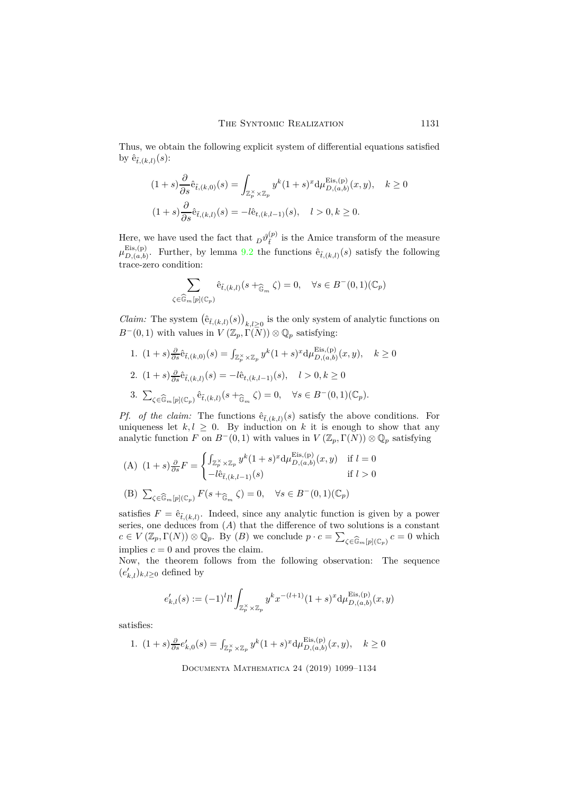Thus, we obtain the following explicit system of differential equations satisfied by  $\hat{\mathbf{e}}_{\tilde{t},(k,l)}(s)$ :

$$
(1+s)\frac{\partial}{\partial s}\hat{e}_{\tilde{t},(k,0)}(s) = \int_{\mathbb{Z}_p^\times \times \mathbb{Z}_p} y^k (1+s)^x d\mu_{D,(a,b)}^{\text{Eis},(p)}(x,y), \quad k \ge 0
$$
  

$$
(1+s)\frac{\partial}{\partial s}\hat{e}_{\tilde{t},(k,l)}(s) = -l\hat{e}_{t,(k,l-1)}(s), \quad l > 0, k \ge 0.
$$

Here, we have used the fact that  $D^{\theta}^{(p)}_{\tilde{t}}$  is the Amice transform of the measure  $\mu_{D,(a,b)}^{\text{Eis},(p)}$  $D_{D,(a,b)}^{LIS,(P)}$ . Further, by lemma [9.2](#page-29-2) the functions  $\hat{e}_{\tilde{t},(k,l)}(s)$  satisfy the following trace-zero condition:

$$
\sum_{\zeta \in \widehat{\mathbb{G}}_m[p](\mathbb{C}_p)} \hat{e}_{\tilde{t},(k,l)}(s +_{\widehat{\mathbb{G}}_m} \zeta) = 0, \quad \forall s \in B^-(0,1)(\mathbb{C}_p)
$$

*Claim:* The system  $(\hat{e}_{\tilde{t},(k,l)}(s))_{k,l\geq 0}$  is the only system of analytic functions on  $B^{-}(0,1)$  with values in  $V(\mathbb{Z}_p,\Gamma(N))\otimes\mathbb{Q}_p$  satisfying:

1.  $(1 + s)\frac{\partial}{\partial s}\hat{e}_{\tilde{t},(k,0)}(s) = \int_{\mathbb{Z}_p^{\times} \times \mathbb{Z}_p} y^k (1 + s)^x \mathrm{d} \mu_{D,(a,b)}^{\text{Eis},(p)}$  $_{D,(a,b)}^{Lis,(p)}(x,y), \quad k \ge 0$ 

2. 
$$
(1+s)\frac{\partial}{\partial s}\hat{e}_{\tilde{t},(k,l)}(s) = -l\hat{e}_{t,(k,l-1)}(s), \quad l > 0, k \ge 0
$$
  
3. 
$$
\sum_{\zeta \in \widehat{\mathbb{G}}_m[p](\mathbb{C}_p)} \hat{e}_{\tilde{t},(k,l)}(s +_{\widehat{\mathbb{G}}_m} \zeta) = 0, \quad \forall s \in B^-(0,1)(\mathbb{C}_p).
$$

*Pf. of the claim:* The functions  $\hat{e}_{\tilde{t},(k,l)}(s)$  satisfy the above conditions. For uniqueness let  $k, l \geq 0$ . By induction on k it is enough to show that any analytic function *F* on *B*<sup>−</sup>(0, 1) with values in  $V(\mathbb{Z}_p, \Gamma(N)) \otimes \mathbb{Q}_p$  satisfying

(A) 
$$
(1+s)\frac{\partial}{\partial s}F = \begin{cases} \int_{\mathbb{Z}_p^{\times} \times \mathbb{Z}_p} y^k (1+s)^x \mathrm{d} \mu_{D,(a,b)}^{\text{Eis},(p)}(x,y) & \text{if } l=0\\ -l\hat{e}_{\tilde{t},(k,l-1)}(s) & \text{if } l>0 \end{cases}
$$
  
(B)  $\sum_{\zeta \in \widehat{\mathbb{G}}_m[p](\mathbb{C}_p)} F(s +_{\widehat{\mathbb{G}}_m} \zeta) = 0, \quad \forall s \in B^-(0,1)(\mathbb{C}_p)$ 

satisfies  $F = \hat{e}_{\tilde{t}, (k,l)}$ . Indeed, since any analytic function is given by a power series, one deduces from (*A*) that the difference of two solutions is a constant  $c \in V(\mathbb{Z}_p, \Gamma(N)) \otimes \mathbb{Q}_p$ . By  $(B)$  we conclude  $p \cdot c = \sum$  $\zeta \in \widehat{\mathbb{G}}_m[p](\mathbb{C}_p)$  *c* = 0 which implies  $c = 0$  and proves the claim.

Now, the theorem follows from the following observation: The sequence  $(e'_{k,l})_{k,l\geq 0}$  defined by

$$
e'_{k,l}(s):=(-1)^l l!\int_{\mathbb{Z}_p^{\times}\times\mathbb{Z}_p}y^k x^{-(l+1)}(1+s)^x\mathrm{d}\mu_{D,(a,b)}^{\mathrm{Eis},(\mathrm{p})}(x,y)
$$

satisfies:

1. 
$$
(1 + s)\frac{\partial}{\partial s}e'_{k,0}(s) = \int_{\mathbb{Z}_p^{\times} \times \mathbb{Z}_p} y^k (1 + s)^x d\mu_{D,(a,b)}^{\text{Eis},(p)}(x, y), \quad k \ge 0
$$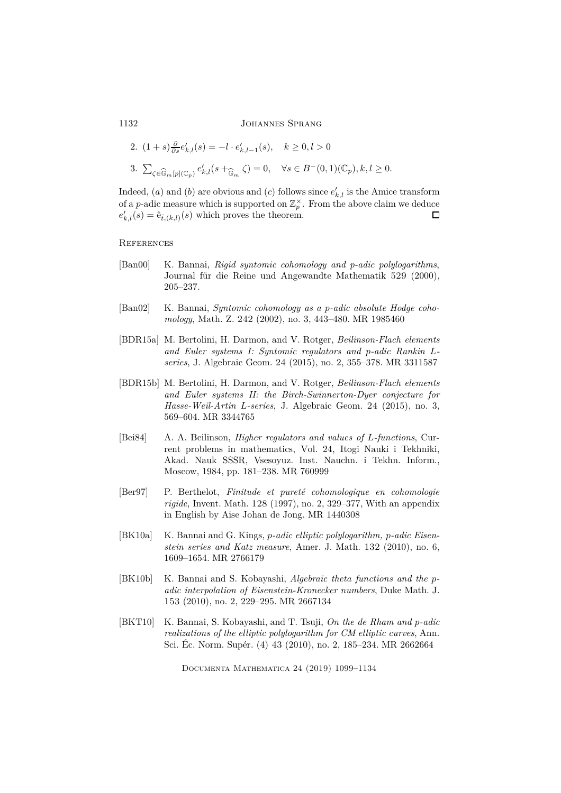2. 
$$
(1 + s) \frac{\partial}{\partial s} e'_{k,l}(s) = -l \cdot e'_{k,l-1}(s), \quad k \ge 0, l > 0
$$
  
3.  $\sum_{\zeta \in \widehat{\mathbb{G}}_m[p](\mathbb{C}_p)} e'_{k,l}(s + \widehat{\mathbb{G}}_m \zeta) = 0, \quad \forall s \in B^-(0,1)(\mathbb{C}_p), k, l \ge 0.$ 

Indeed,  $(a)$  and  $(b)$  are obvious and  $(c)$  follows since  $e'_{k,l}$  is the Amice transform of a *p*-adic measure which is supported on  $\mathbb{Z}_p^{\times}$ . From the above claim we deduce  $e'_{k,l}(s) = \hat{e}_{\tilde{t},(k,l)}(s)$  which proves the theorem.  $\square$ 

# **REFERENCES**

- <span id="page-33-7"></span>[Ban00] K. Bannai, *Rigid syntomic cohomology and p-adic polylogarithms*, Journal für die Reine und Angewandte Mathematik 529 (2000), 205–237.
- <span id="page-33-1"></span>[Ban02] K. Bannai, *Syntomic cohomology as a p-adic absolute Hodge cohomology*, Math. Z. 242 (2002), no. 3, 443–480. MR 1985460
- <span id="page-33-2"></span>[BDR15a] M. Bertolini, H. Darmon, and V. Rotger, *Beilinson-Flach elements and Euler systems I: Syntomic regulators and p-adic Rankin Lseries*, J. Algebraic Geom. 24 (2015), no. 2, 355–378. MR 3311587
- <span id="page-33-3"></span>[BDR15b] M. Bertolini, H. Darmon, and V. Rotger, *Beilinson-Flach elements and Euler systems II: the Birch-Swinnerton-Dyer conjecture for Hasse-Weil-Artin L-series*, J. Algebraic Geom. 24 (2015), no. 3, 569–604. MR 3344765
- <span id="page-33-0"></span>[Bei84] A. A. Beilinson, *Higher regulators and values of L-functions*, Current problems in mathematics, Vol. 24, Itogi Nauki i Tekhniki, Akad. Nauk SSSR, Vsesoyuz. Inst. Nauchn. i Tekhn. Inform., Moscow, 1984, pp. 181–238. MR 760999
- <span id="page-33-6"></span>[Ber97] P. Berthelot, *Finitude et pureté cohomologique en cohomologie rigide*, Invent. Math. 128 (1997), no. 2, 329–377, With an appendix in English by Aise Johan de Jong. MR 1440308
- <span id="page-33-5"></span>[BK10a] K. Bannai and G. Kings, *p-adic elliptic polylogarithm, p-adic Eisenstein series and Katz measure*, Amer. J. Math. 132 (2010), no. 6, 1609–1654. MR 2766179
- <span id="page-33-8"></span>[BK10b] K. Bannai and S. Kobayashi, *Algebraic theta functions and the padic interpolation of Eisenstein-Kronecker numbers*, Duke Math. J. 153 (2010), no. 2, 229–295. MR 2667134
- <span id="page-33-4"></span>[BKT10] K. Bannai, S. Kobayashi, and T. Tsuji, *On the de Rham and p-adic realizations of the elliptic polylogarithm for CM elliptic curves*, Ann. Sci. Éc. Norm. Supér. (4) 43 (2010), no. 2, 185–234. MR 2662664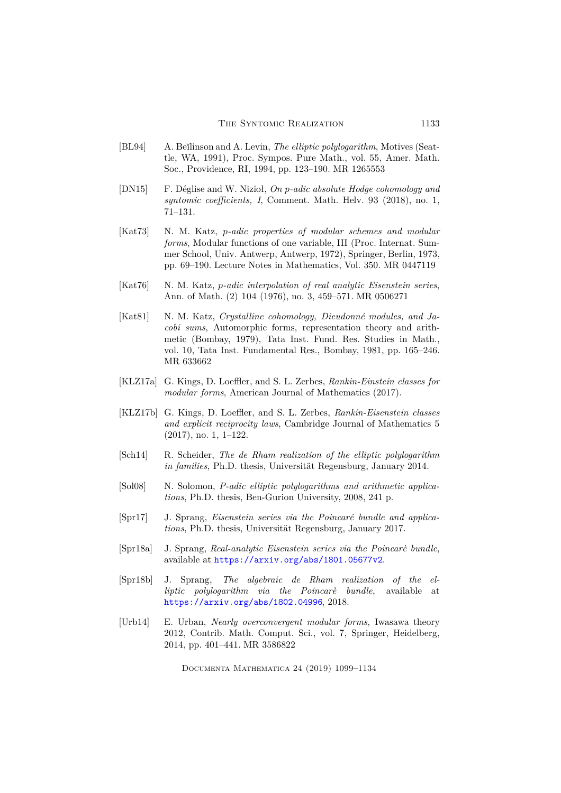- <span id="page-34-0"></span>[BL94] A. Be˘ılinson and A. Levin, *The elliptic polylogarithm*, Motives (Seattle, WA, 1991), Proc. Sympos. Pure Math., vol. 55, Amer. Math. Soc., Providence, RI, 1994, pp. 123–190. MR 1265553
- <span id="page-34-6"></span>[DN15] F. Déglise and W. Nizioł, *On p-adic absolute Hodge cohomology and syntomic coefficients, I*, Comment. Math. Helv. 93 (2018), no. 1, 71–131.
- <span id="page-34-9"></span>[Kat73] N. M. Katz, *p-adic properties of modular schemes and modular forms*, Modular functions of one variable, III (Proc. Internat. Summer School, Univ. Antwerp, Antwerp, 1972), Springer, Berlin, 1973, pp. 69–190. Lecture Notes in Mathematics, Vol. 350. MR 0447119
- <span id="page-34-10"></span>[Kat76] N. M. Katz, *p-adic interpolation of real analytic Eisenstein series*, Ann. of Math. (2) 104 (1976), no. 3, 459–571. MR 0506271
- <span id="page-34-12"></span>[Kat81] N. M. Katz, *Crystalline cohomology, Dieudonné modules, and Jacobi sums*, Automorphic forms, representation theory and arithmetic (Bombay, 1979), Tata Inst. Fund. Res. Studies in Math., vol. 10, Tata Inst. Fundamental Res., Bombay, 1981, pp. 165–246. MR 633662
- <span id="page-34-1"></span>[KLZ17a] G. Kings, D. Loeffler, and S. L. Zerbes, *Rankin-Einstein classes for modular forms*, American Journal of Mathematics (2017).
- <span id="page-34-2"></span>[KLZ17b] G. Kings, D. Loeffler, and S. L. Zerbes, *Rankin-Eisenstein classes and explicit reciprocity laws*, Cambridge Journal of Mathematics 5 (2017), no. 1, 1–122.
- <span id="page-34-8"></span>[Sch14] R. Scheider, *The de Rham realization of the elliptic polylogarithm in families*, Ph.D. thesis, Universität Regensburg, January 2014.
- <span id="page-34-7"></span>[Sol08] N. Solomon, *P-adic elliptic polylogarithms and arithmetic applications*, Ph.D. thesis, Ben-Gurion University, 2008, 241 p.
- <span id="page-34-5"></span>[Spr17] J. Sprang, *Eisenstein series via the Poincaré bundle and applications*, Ph.D. thesis, Universität Regensburg, January 2017.
- <span id="page-34-3"></span>[Spr18a] J. Sprang, *Real-analytic Eisenstein series via the Poincarè bundle*, available at <https://arxiv.org/abs/1801.05677v2>.
- <span id="page-34-4"></span>[Spr18b] J. Sprang, *The algebraic de Rham realization of the elliptic polylogarithm via the Poincarè bundle*, available at <https://arxiv.org/abs/1802.04996>, 2018.
- <span id="page-34-11"></span>[Urb14] E. Urban, *Nearly overconvergent modular forms*, Iwasawa theory 2012, Contrib. Math. Comput. Sci., vol. 7, Springer, Heidelberg, 2014, pp. 401–441. MR 3586822